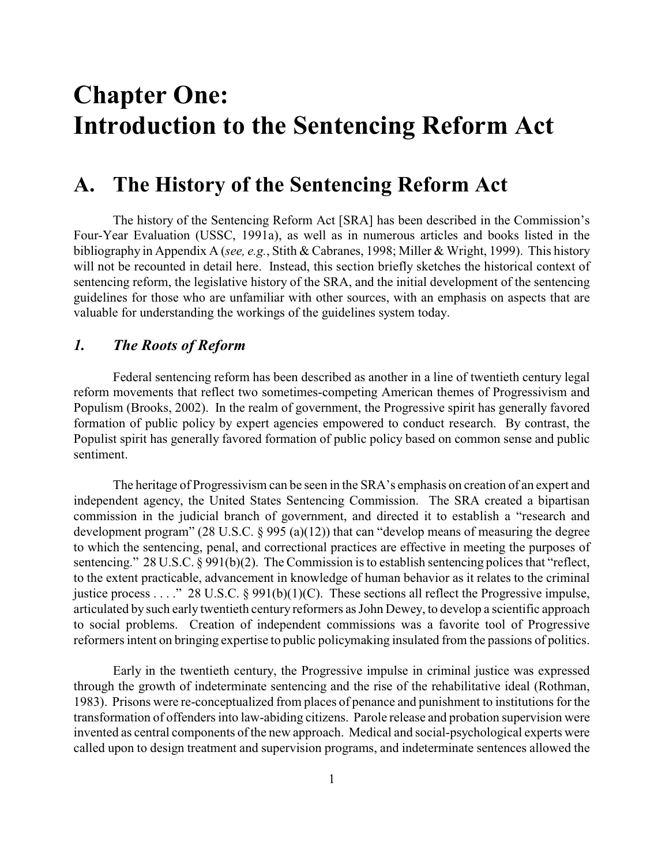# **Chapter One: Introduction to the Sentencing Reform Act**

### **A. The History of the Sentencing Reform Act**

The history of the Sentencing Reform Act [SRA] has been described in the Commission's Four-Year Evaluation (USSC, 1991a), as well as in numerous articles and books listed in the bibliography in Appendix A (*see, e.g.*, Stith & Cabranes, 1998; Miller & Wright, 1999). This history will not be recounted in detail here. Instead, this section briefly sketches the historical context of sentencing reform, the legislative history of the SRA, and the initial development of the sentencing guidelines for those who are unfamiliar with other sources, with an emphasis on aspects that are valuable for understanding the workings of the guidelines system today.

#### *1. The Roots of Reform*

Federal sentencing reform has been described as another in a line of twentieth century legal reform movements that reflect two sometimes-competing American themes of Progressivism and Populism (Brooks, 2002). In the realm of government, the Progressive spirit has generally favored formation of public policy by expert agencies empowered to conduct research. By contrast, the Populist spirit has generally favored formation of public policy based on common sense and public sentiment.

The heritage of Progressivism can be seen in the SRA's emphasis on creation of an expert and independent agency, the United States Sentencing Commission. The SRA created a bipartisan commission in the judicial branch of government, and directed it to establish a "research and development program" (28 U.S.C. § 995 (a)(12)) that can "develop means of measuring the degree to which the sentencing, penal, and correctional practices are effective in meeting the purposes of sentencing." 28 U.S.C. § 991(b)(2). The Commission is to establish sentencing polices that "reflect, to the extent practicable, advancement in knowledge of human behavior as it relates to the criminal justice process . . . ." 28 U.S.C. § 991(b)(1)(C). These sections all reflect the Progressive impulse, articulated by such early twentieth century reformers as John Dewey, to develop a scientific approach to social problems. Creation of independent commissions was a favorite tool of Progressive reformers intent on bringing expertise to public policymaking insulated from the passions of politics.

Early in the twentieth century, the Progressive impulse in criminal justice was expressed through the growth of indeterminate sentencing and the rise of the rehabilitative ideal (Rothman, 1983). Prisons were re-conceptualized from places of penance and punishment to institutions for the transformation of offenders into law-abiding citizens. Parole release and probation supervision were invented as central components of the new approach. Medical and social-psychological experts were called upon to design treatment and supervision programs, and indeterminate sentences allowed the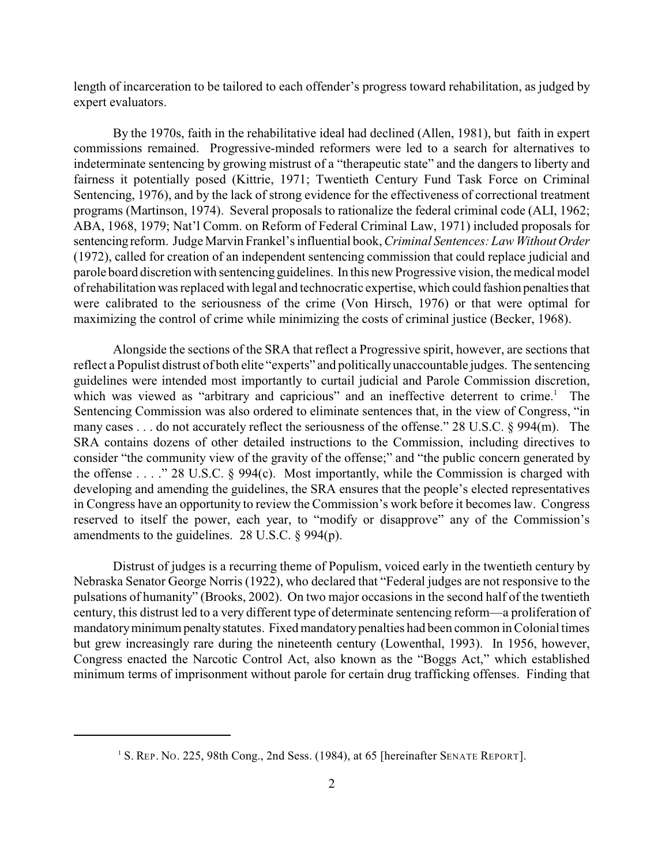length of incarceration to be tailored to each offender's progress toward rehabilitation, as judged by expert evaluators.

By the 1970s, faith in the rehabilitative ideal had declined (Allen, 1981), but faith in expert commissions remained. Progressive-minded reformers were led to a search for alternatives to indeterminate sentencing by growing mistrust of a "therapeutic state" and the dangers to liberty and fairness it potentially posed (Kittrie, 1971; Twentieth Century Fund Task Force on Criminal Sentencing, 1976), and by the lack of strong evidence for the effectiveness of correctional treatment programs (Martinson, 1974). Several proposals to rationalize the federal criminal code (ALI, 1962; ABA, 1968, 1979; Nat'l Comm. on Reform of Federal Criminal Law, 1971) included proposals for sentencing reform. Judge Marvin Frankel's influential book, *Criminal Sentences: Law Without Order* (1972), called for creation of an independent sentencing commission that could replace judicial and parole board discretion with sentencing guidelines. In this new Progressive vision, the medical model of rehabilitation was replaced with legal and technocratic expertise, which could fashion penalties that were calibrated to the seriousness of the crime (Von Hirsch, 1976) or that were optimal for maximizing the control of crime while minimizing the costs of criminal justice (Becker, 1968).

Alongside the sections of the SRA that reflect a Progressive spirit, however, are sections that reflect a Populist distrust of both elite "experts" and politicallyunaccountable judges. The sentencing guidelines were intended most importantly to curtail judicial and Parole Commission discretion, which was viewed as "arbitrary and capricious" and an ineffective deterrent to crime.<sup>1</sup> The Sentencing Commission was also ordered to eliminate sentences that, in the view of Congress, "in many cases . . . do not accurately reflect the seriousness of the offense." 28 U.S.C. § 994(m). The SRA contains dozens of other detailed instructions to the Commission, including directives to consider "the community view of the gravity of the offense;" and "the public concern generated by the offense . . . ." 28 U.S.C. § 994(c). Most importantly, while the Commission is charged with developing and amending the guidelines, the SRA ensures that the people's elected representatives in Congress have an opportunity to review the Commission's work before it becomes law. Congress reserved to itself the power, each year, to "modify or disapprove" any of the Commission's amendments to the guidelines. 28 U.S.C. § 994(p).

Distrust of judges is a recurring theme of Populism, voiced early in the twentieth century by Nebraska Senator George Norris (1922), who declared that "Federal judges are not responsive to the pulsations of humanity" (Brooks, 2002). On two major occasions in the second half of the twentieth century, this distrust led to a very different type of determinate sentencing reform—a proliferation of mandatory minimum penalty statutes. Fixed mandatory penalties had been common in Colonial times but grew increasingly rare during the nineteenth century (Lowenthal, 1993). In 1956, however, Congress enacted the Narcotic Control Act, also known as the "Boggs Act," which established minimum terms of imprisonment without parole for certain drug trafficking offenses. Finding that

<sup>&</sup>lt;sup>1</sup> S. REP. No. 225, 98th Cong., 2nd Sess. (1984), at 65 [hereinafter SENATE REPORT].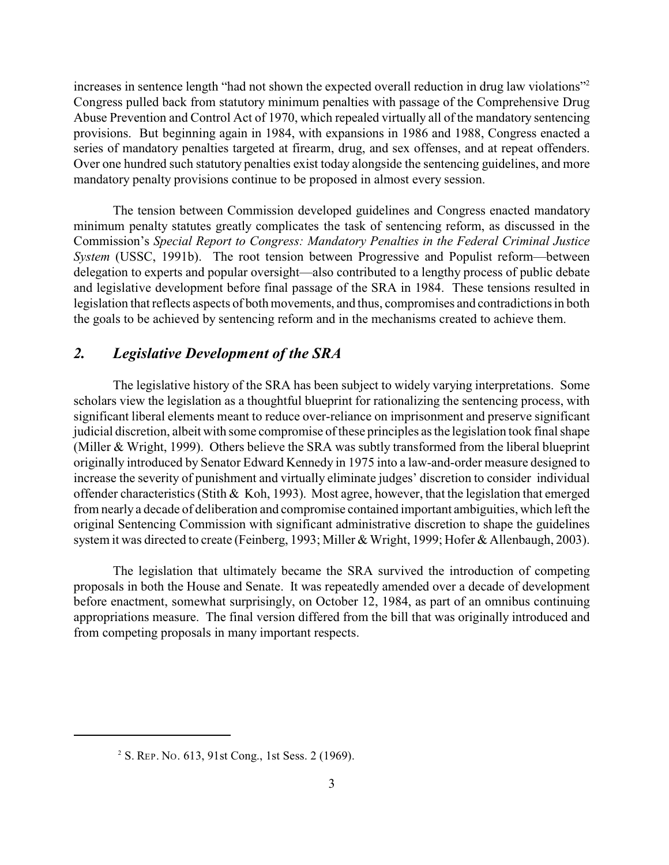increases in sentence length "had not shown the expected overall reduction in drug law violations" 2 Congress pulled back from statutory minimum penalties with passage of the Comprehensive Drug Abuse Prevention and Control Act of 1970, which repealed virtually all of the mandatory sentencing provisions. But beginning again in 1984, with expansions in 1986 and 1988, Congress enacted a series of mandatory penalties targeted at firearm, drug, and sex offenses, and at repeat offenders. Over one hundred such statutory penalties exist today alongside the sentencing guidelines, and more mandatory penalty provisions continue to be proposed in almost every session.

The tension between Commission developed guidelines and Congress enacted mandatory minimum penalty statutes greatly complicates the task of sentencing reform, as discussed in the Commission's *Special Report to Congress: Mandatory Penalties in the Federal Criminal Justice System* (USSC, 1991b). The root tension between Progressive and Populist reform—between delegation to experts and popular oversight—also contributed to a lengthy process of public debate and legislative development before final passage of the SRA in 1984. These tensions resulted in legislation that reflects aspects of both movements, and thus, compromises and contradictions in both the goals to be achieved by sentencing reform and in the mechanisms created to achieve them.

#### *2. Legislative Development of the SRA*

The legislative history of the SRA has been subject to widely varying interpretations. Some scholars view the legislation as a thoughtful blueprint for rationalizing the sentencing process, with significant liberal elements meant to reduce over-reliance on imprisonment and preserve significant judicial discretion, albeit with some compromise of these principles as the legislation took final shape (Miller & Wright, 1999). Others believe the SRA was subtly transformed from the liberal blueprint originally introduced by Senator Edward Kennedy in 1975 into a law-and-order measure designed to increase the severity of punishment and virtually eliminate judges' discretion to consider individual offender characteristics (Stith & Koh, 1993). Most agree, however, that the legislation that emerged from nearly a decade of deliberation and compromise contained important ambiguities, which left the original Sentencing Commission with significant administrative discretion to shape the guidelines system it was directed to create (Feinberg, 1993; Miller & Wright, 1999; Hofer & Allenbaugh, 2003).

The legislation that ultimately became the SRA survived the introduction of competing proposals in both the House and Senate. It was repeatedly amended over a decade of development before enactment, somewhat surprisingly, on October 12, 1984, as part of an omnibus continuing appropriations measure. The final version differed from the bill that was originally introduced and from competing proposals in many important respects.

<sup>&</sup>lt;sup>2</sup> S. REP. No. 613, 91st Cong., 1st Sess. 2 (1969).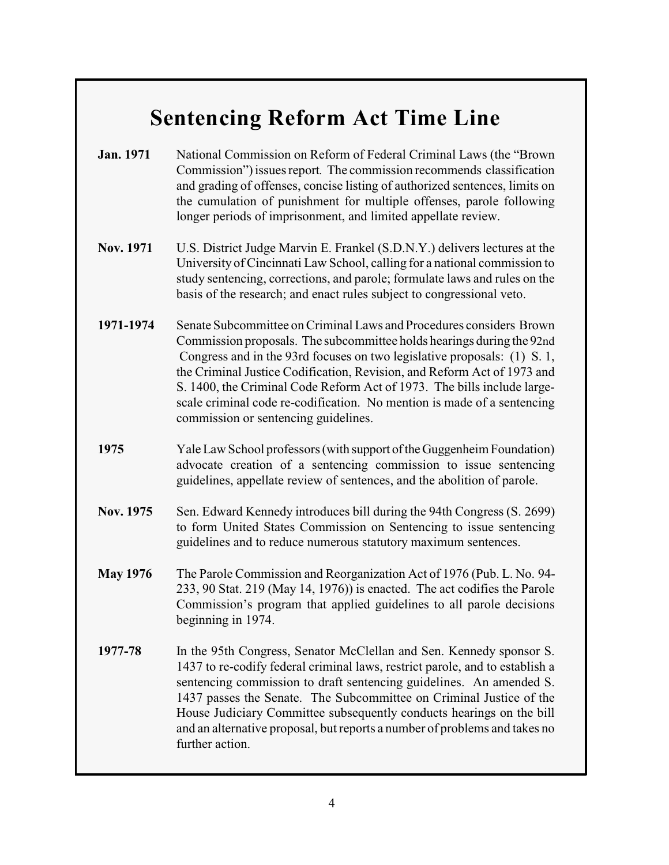# **Sentencing Reform Act Time Line**

- **Jan. 1971** National Commission on Reform of Federal Criminal Laws (the "Brown Commission") issues report*.* The commission recommends classification and grading of offenses, concise listing of authorized sentences, limits on the cumulation of punishment for multiple offenses, parole following longer periods of imprisonment, and limited appellate review.
- **Nov. 1971** U.S. District Judge Marvin E. Frankel (S.D.N.Y.) delivers lectures at the University of Cincinnati Law School, calling for a national commission to study sentencing, corrections, and parole; formulate laws and rules on the basis of the research; and enact rules subject to congressional veto.
- **1971-1974** Senate Subcommittee on Criminal Laws and Procedures considers Brown Commission proposals. The subcommittee holds hearings during the 92nd Congress and in the 93rd focuses on two legislative proposals: (1) S. 1, the Criminal Justice Codification, Revision, and Reform Act of 1973 and S. 1400, the Criminal Code Reform Act of 1973. The bills include largescale criminal code re-codification. No mention is made of a sentencing commission or sentencing guidelines.
- **1975** Yale Law School professors (with support of the Guggenheim Foundation) advocate creation of a sentencing commission to issue sentencing guidelines, appellate review of sentences, and the abolition of parole.
- **Nov. 1975** Sen. Edward Kennedy introduces bill during the 94th Congress (S. 2699) to form United States Commission on Sentencing to issue sentencing guidelines and to reduce numerous statutory maximum sentences.
- **May 1976** The Parole Commission and Reorganization Act of 1976 (Pub. L. No. 94- 233, 90 Stat. 219 (May 14, 1976)) is enacted. The act codifies the Parole Commission's program that applied guidelines to all parole decisions beginning in 1974.
- **1977-78** In the 95th Congress, Senator McClellan and Sen. Kennedy sponsor S. 1437 to re-codify federal criminal laws, restrict parole, and to establish a sentencing commission to draft sentencing guidelines. An amended S. 1437 passes the Senate. The Subcommittee on Criminal Justice of the House Judiciary Committee subsequently conducts hearings on the bill and an alternative proposal, but reports a number of problems and takes no further action.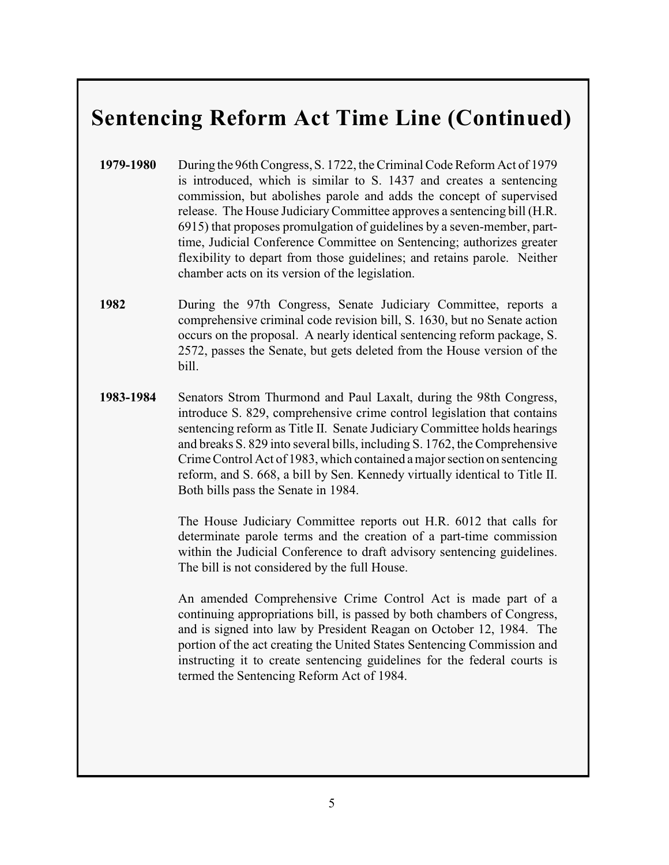## **Sentencing Reform Act Time Line (Continued)**

- **1979-1980** During the 96th Congress, S. 1722, the Criminal Code Reform Act of 1979 is introduced, which is similar to S. 1437 and creates a sentencing commission, but abolishes parole and adds the concept of supervised release. The House JudiciaryCommittee approves a sentencing bill (H.R. 6915) that proposes promulgation of guidelines by a seven-member, parttime, Judicial Conference Committee on Sentencing; authorizes greater flexibility to depart from those guidelines; and retains parole. Neither chamber acts on its version of the legislation.
- **1982** During the 97th Congress, Senate Judiciary Committee, reports a comprehensive criminal code revision bill, S. 1630, but no Senate action occurs on the proposal. A nearly identical sentencing reform package, S. 2572, passes the Senate, but gets deleted from the House version of the bill.
- **1983-1984** Senators Strom Thurmond and Paul Laxalt, during the 98th Congress, introduce S. 829, comprehensive crime control legislation that contains sentencing reform as Title II. Senate Judiciary Committee holds hearings and breaks S. 829 into several bills, including S. 1762, the Comprehensive Crime Control Act of 1983, which contained a major section on sentencing reform, and S. 668, a bill by Sen. Kennedy virtually identical to Title II. Both bills pass the Senate in 1984.

The House Judiciary Committee reports out H.R. 6012 that calls for determinate parole terms and the creation of a part-time commission within the Judicial Conference to draft advisory sentencing guidelines. The bill is not considered by the full House.

An amended Comprehensive Crime Control Act is made part of a continuing appropriations bill, is passed by both chambers of Congress, and is signed into law by President Reagan on October 12, 1984. The portion of the act creating the United States Sentencing Commission and instructing it to create sentencing guidelines for the federal courts is termed the Sentencing Reform Act of 1984.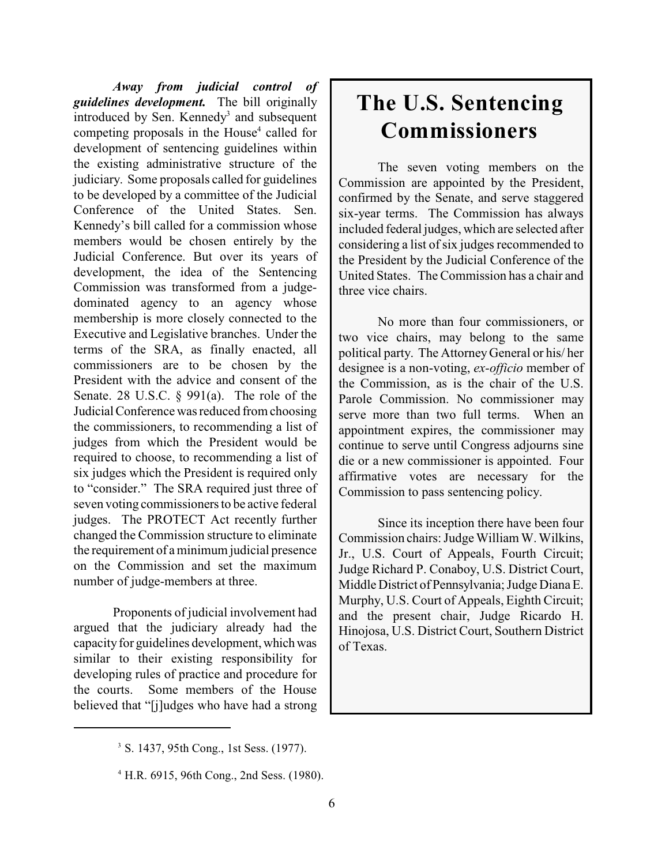*Away from judicial control of guidelines development.* The bill originally introduced by Sen. Kennedy<sup>3</sup> and subsequent competing proposals in the House<sup>4</sup> called for development of sentencing guidelines within the existing administrative structure of the judiciary. Some proposals called for guidelines to be developed by a committee of the Judicial Conference of the United States. Sen. Kennedy's bill called for a commission whose members would be chosen entirely by the Judicial Conference. But over its years of development, the idea of the Sentencing Commission was transformed from a judgedominated agency to an agency whose membership is more closely connected to the Executive and Legislative branches. Under the terms of the SRA, as finally enacted, all commissioners are to be chosen by the President with the advice and consent of the Senate. 28 U.S.C. § 991(a). The role of the Judicial Conference was reduced from choosing the commissioners, to recommending a list of judges from which the President would be required to choose, to recommending a list of six judges which the President is required only to "consider." The SRA required just three of seven voting commissioners to be active federal judges. The PROTECT Act recently further changed the Commission structure to eliminate the requirement of a minimum judicial presence on the Commission and set the maximum number of judge-members at three.

Proponents of judicial involvement had argued that the judiciary already had the capacity for guidelines development, which was similar to their existing responsibility for developing rules of practice and procedure for the courts. Some members of the House believed that "[j]udges who have had a strong

# **The U.S. Sentencing Commissioners**

The seven voting members on the Commission are appointed by the President, confirmed by the Senate, and serve staggered six-year terms. The Commission has always included federal judges, which are selected after considering a list of six judges recommended to the President by the Judicial Conference of the United States. The Commission has a chair and three vice chairs.

No more than four commissioners, or two vice chairs, may belong to the same political party. The Attorney General or his/ her designee is a non-voting, *ex-officio* member of the Commission, as is the chair of the U.S. Parole Commission. No commissioner may serve more than two full terms. When an appointment expires, the commissioner may continue to serve until Congress adjourns sine die or a new commissioner is appointed. Four affirmative votes are necessary for the Commission to pass sentencing policy.

Since its inception there have been four Commission chairs: Judge William W. Wilkins, Jr., U.S. Court of Appeals, Fourth Circuit; Judge Richard P. Conaboy, U.S. District Court, Middle District of Pennsylvania; Judge Diana E. Murphy, U.S. Court of Appeals, Eighth Circuit; and the present chair, Judge Ricardo H. Hinojosa, U.S. District Court, Southern District of Texas.

<sup>&</sup>lt;sup>3</sup> S. 1437, 95th Cong., 1st Sess. (1977).

<sup>&</sup>lt;sup>4</sup> H.R. 6915, 96th Cong., 2nd Sess. (1980).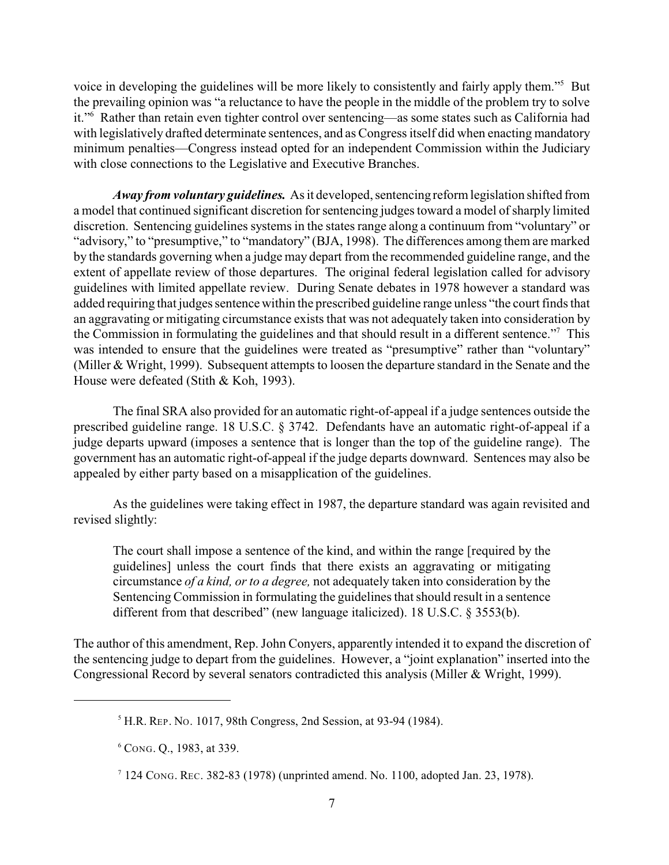voice in developing the guidelines will be more likely to consistently and fairly apply them."<sup>5</sup> But the prevailing opinion was "a reluctance to have the people in the middle of the problem try to solve it."<sup>6</sup> Rather than retain even tighter control over sentencing—as some states such as California had with legislatively drafted determinate sentences, and as Congress itself did when enacting mandatory minimum penalties—Congress instead opted for an independent Commission within the Judiciary with close connections to the Legislative and Executive Branches.

*Away from voluntary guidelines.* As it developed, sentencing reform legislation shifted from a model that continued significant discretion for sentencing judges toward a model of sharply limited discretion. Sentencing guidelines systems in the states range along a continuum from "voluntary" or "advisory," to "presumptive," to "mandatory" (BJA, 1998). The differences among them are marked by the standards governing when a judge may depart from the recommended guideline range, and the extent of appellate review of those departures. The original federal legislation called for advisory guidelines with limited appellate review. During Senate debates in 1978 however a standard was added requiring that judges sentence within the prescribed guideline range unless "the court finds that an aggravating or mitigating circumstance exists that was not adequately taken into consideration by the Commission in formulating the guidelines and that should result in a different sentence."<sup>7</sup> This was intended to ensure that the guidelines were treated as "presumptive" rather than "voluntary" (Miller & Wright, 1999). Subsequent attempts to loosen the departure standard in the Senate and the House were defeated (Stith & Koh, 1993).

The final SRA also provided for an automatic right-of-appeal if a judge sentences outside the prescribed guideline range. 18 U.S.C. § 3742. Defendants have an automatic right-of-appeal if a judge departs upward (imposes a sentence that is longer than the top of the guideline range). The government has an automatic right-of-appeal if the judge departs downward. Sentences may also be appealed by either party based on a misapplication of the guidelines.

As the guidelines were taking effect in 1987, the departure standard was again revisited and revised slightly:

The court shall impose a sentence of the kind, and within the range [required by the guidelines] unless the court finds that there exists an aggravating or mitigating circumstance *of a kind, or to a degree,* not adequately taken into consideration by the Sentencing Commission in formulating the guidelines that should result in a sentence different from that described" (new language italicized). 18 U.S.C. § 3553(b).

The author of this amendment, Rep. John Conyers, apparently intended it to expand the discretion of the sentencing judge to depart from the guidelines. However, a "joint explanation" inserted into the Congressional Record by several senators contradicted this analysis (Miller & Wright, 1999).

<sup>&</sup>lt;sup>5</sup> H.R. REP. No. 1017, 98th Congress, 2nd Session, at 93-94 (1984).

CONG. Q., 1983, at 339. <sup>6</sup>

 $7124$  Cong. Rec. 382-83 (1978) (unprinted amend. No. 1100, adopted Jan. 23, 1978).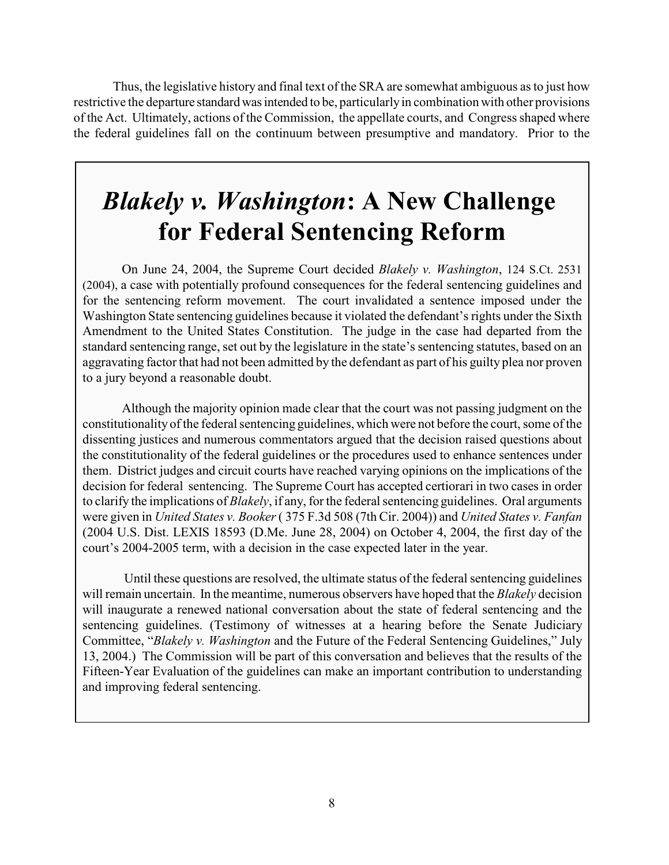Thus, the legislative history and final text of the SRA are somewhat ambiguous as to just how restrictive the departure standard was intended to be, particularly in combination with other provisions of the Act. Ultimately, actions of the Commission, the appellate courts, and Congress shaped where the federal guidelines fall on the continuum between presumptive and mandatory. Prior to the

# *Blakely v. Washington***: A New Challenge for Federal Sentencing Reform**

On June 24, 2004, the Supreme Court decided *Blakely v. Washington*, 124 S.Ct. 2531 (2004), a case with potentially profound consequences for the federal sentencing guidelines and for the sentencing reform movement. The court invalidated a sentence imposed under the Washington State sentencing guidelines because it violated the defendant's rights under the Sixth Amendment to the United States Constitution. The judge in the case had departed from the standard sentencing range, set out by the legislature in the state's sentencing statutes, based on an aggravating factor that had not been admitted by the defendant as part of his guilty plea nor proven to a jury beyond a reasonable doubt.

Although the majority opinion made clear that the court was not passing judgment on the constitutionality of the federal sentencing guidelines, which were not before the court, some of the dissenting justices and numerous commentators argued that the decision raised questions about the constitutionality of the federal guidelines or the procedures used to enhance sentences under them. District judges and circuit courts have reached varying opinions on the implications of the decision for federal sentencing. The Supreme Court has accepted certiorari in two cases in order to clarify the implications of *Blakely*, if any, for the federal sentencing guidelines. Oral arguments were given in *United States v. Booker* ( 375 F.3d 508 (7th Cir. 2004)) and *United States v. Fanfan* (2004 U.S. Dist. LEXIS 18593 (D.Me. June 28, 2004) on October 4, 2004, the first day of the court's 2004-2005 term, with a decision in the case expected later in the year.

 Until these questions are resolved, the ultimate status of the federal sentencing guidelines will remain uncertain. In the meantime, numerous observers have hoped that the *Blakely* decision will inaugurate a renewed national conversation about the state of federal sentencing and the sentencing guidelines. (Testimony of witnesses at a hearing before the Senate Judiciary Committee, "*Blakely v. Washington* and the Future of the Federal Sentencing Guidelines," July 13, 2004.) The Commission will be part of this conversation and believes that the results of the Fifteen-Year Evaluation of the guidelines can make an important contribution to understanding and improving federal sentencing.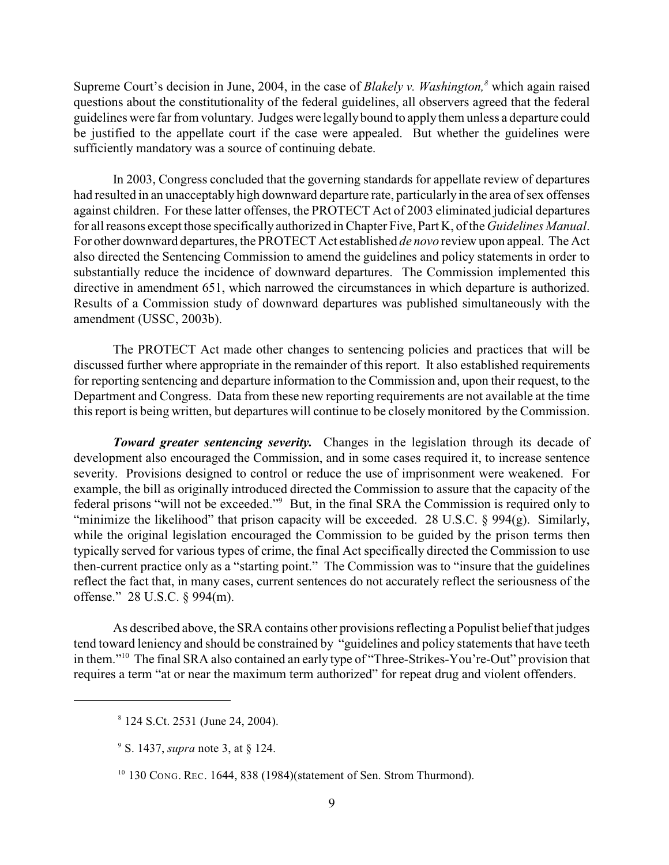Supreme Court's decision in June, 2004, in the case of *Blakely v. Washington*,<sup>8</sup> which again raised questions about the constitutionality of the federal guidelines, all observers agreed that the federal guidelines were far from voluntary. Judges were legally bound to apply them unless a departure could be justified to the appellate court if the case were appealed. But whether the guidelines were sufficiently mandatory was a source of continuing debate.

In 2003, Congress concluded that the governing standards for appellate review of departures had resulted in an unacceptably high downward departure rate, particularly in the area of sex offenses against children. For these latter offenses, the PROTECT Act of 2003 eliminated judicial departures for all reasons except those specifically authorized in Chapter Five, Part K, of the *Guidelines Manual*. For other downward departures, the PROTECT Act established *de novo* review upon appeal. The Act also directed the Sentencing Commission to amend the guidelines and policy statements in order to substantially reduce the incidence of downward departures. The Commission implemented this directive in amendment 651, which narrowed the circumstances in which departure is authorized. Results of a Commission study of downward departures was published simultaneously with the amendment (USSC, 2003b).

The PROTECT Act made other changes to sentencing policies and practices that will be discussed further where appropriate in the remainder of this report. It also established requirements for reporting sentencing and departure information to the Commission and, upon their request, to the Department and Congress. Data from these new reporting requirements are not available at the time this report is being written, but departures will continue to be closely monitored by the Commission.

*Toward greater sentencing severity.* Changes in the legislation through its decade of development also encouraged the Commission, and in some cases required it, to increase sentence severity. Provisions designed to control or reduce the use of imprisonment were weakened. For example, the bill as originally introduced directed the Commission to assure that the capacity of the federal prisons "will not be exceeded."<sup>9</sup> But, in the final SRA the Commission is required only to "minimize the likelihood" that prison capacity will be exceeded. 28 U.S.C. § 994(g). Similarly, while the original legislation encouraged the Commission to be guided by the prison terms then typically served for various types of crime, the final Act specifically directed the Commission to use then-current practice only as a "starting point." The Commission was to "insure that the guidelines reflect the fact that, in many cases, current sentences do not accurately reflect the seriousness of the offense." 28 U.S.C. § 994(m).

As described above, the SRA contains other provisions reflecting a Populist belief that judges tend toward leniency and should be constrained by "guidelines and policy statements that have teeth in them."<sup>10</sup> The final SRA also contained an early type of "Three-Strikes-You're-Out" provision that requires a term "at or near the maximum term authorized" for repeat drug and violent offenders.

<sup>&</sup>lt;sup>8</sup> 124 S.Ct. 2531 (June 24, 2004).

<sup>&</sup>lt;sup>9</sup> S. 1437, *supra* note 3, at § 124.

<sup>&</sup>lt;sup>10</sup> 130 CONG. REC. 1644, 838 (1984)(statement of Sen. Strom Thurmond).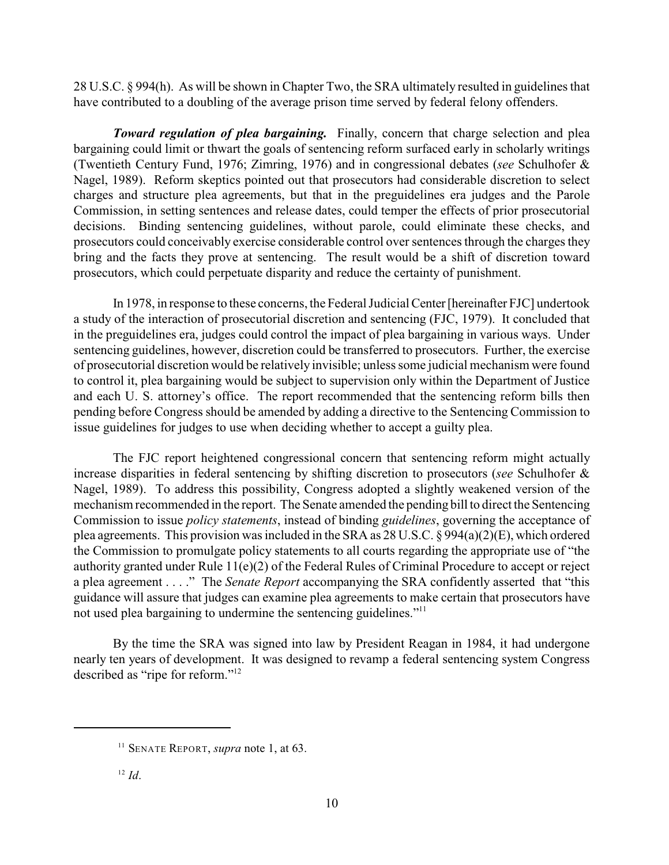28 U.S.C. § 994(h). As will be shown in Chapter Two, the SRA ultimately resulted in guidelines that have contributed to a doubling of the average prison time served by federal felony offenders.

*Toward regulation of plea bargaining.* Finally, concern that charge selection and plea bargaining could limit or thwart the goals of sentencing reform surfaced early in scholarly writings (Twentieth Century Fund, 1976; Zimring, 1976) and in congressional debates (*see* Schulhofer & Nagel, 1989). Reform skeptics pointed out that prosecutors had considerable discretion to select charges and structure plea agreements, but that in the preguidelines era judges and the Parole Commission, in setting sentences and release dates, could temper the effects of prior prosecutorial decisions. Binding sentencing guidelines, without parole, could eliminate these checks, and prosecutors could conceivably exercise considerable control over sentences through the charges they bring and the facts they prove at sentencing. The result would be a shift of discretion toward prosecutors, which could perpetuate disparity and reduce the certainty of punishment.

In 1978, in response to these concerns, the Federal Judicial Center [hereinafter FJC] undertook a study of the interaction of prosecutorial discretion and sentencing (FJC, 1979). It concluded that in the preguidelines era, judges could control the impact of plea bargaining in various ways. Under sentencing guidelines, however, discretion could be transferred to prosecutors. Further, the exercise of prosecutorial discretion would be relatively invisible; unless some judicial mechanism were found to control it, plea bargaining would be subject to supervision only within the Department of Justice and each U. S. attorney's office. The report recommended that the sentencing reform bills then pending before Congress should be amended by adding a directive to the Sentencing Commission to issue guidelines for judges to use when deciding whether to accept a guilty plea.

The FJC report heightened congressional concern that sentencing reform might actually increase disparities in federal sentencing by shifting discretion to prosecutors (*see* Schulhofer & Nagel, 1989). To address this possibility, Congress adopted a slightly weakened version of the mechanism recommended in the report. The Senate amended the pending bill to direct the Sentencing Commission to issue *policy statements*, instead of binding *guidelines*, governing the acceptance of plea agreements. This provision was included in the SRA as 28 U.S.C. § 994(a)(2)(E), which ordered the Commission to promulgate policy statements to all courts regarding the appropriate use of "the authority granted under Rule 11(e)(2) of the Federal Rules of Criminal Procedure to accept or reject a plea agreement . . . ." The *Senate Report* accompanying the SRA confidently asserted that "this guidance will assure that judges can examine plea agreements to make certain that prosecutors have not used plea bargaining to undermine the sentencing guidelines."<sup>11</sup>

By the time the SRA was signed into law by President Reagan in 1984, it had undergone nearly ten years of development. It was designed to revamp a federal sentencing system Congress described as "ripe for reform."12

<sup>&</sup>lt;sup>11</sup> SENATE REPORT, *supra* note 1, at 63.

 $I^2$  *Id.*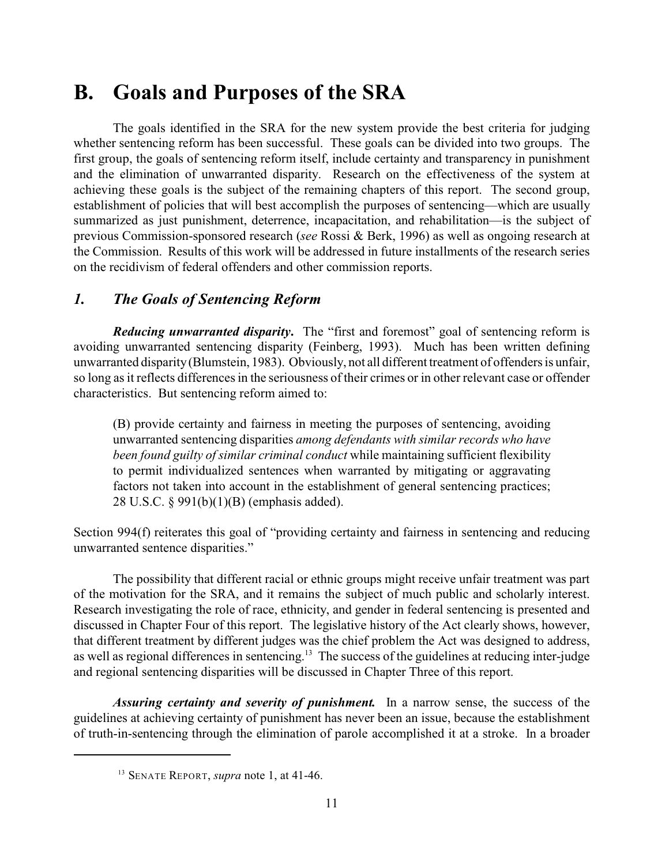## **B. Goals and Purposes of the SRA**

The goals identified in the SRA for the new system provide the best criteria for judging whether sentencing reform has been successful. These goals can be divided into two groups. The first group, the goals of sentencing reform itself, include certainty and transparency in punishment and the elimination of unwarranted disparity. Research on the effectiveness of the system at achieving these goals is the subject of the remaining chapters of this report. The second group, establishment of policies that will best accomplish the purposes of sentencing—which are usually summarized as just punishment, deterrence, incapacitation, and rehabilitation—is the subject of previous Commission-sponsored research (*see* Rossi & Berk, 1996) as well as ongoing research at the Commission. Results of this work will be addressed in future installments of the research series on the recidivism of federal offenders and other commission reports.

### *1. The Goals of Sentencing Reform*

*Reducing unwarranted disparity***.** The "first and foremost" goal of sentencing reform is avoiding unwarranted sentencing disparity (Feinberg, 1993). Much has been written defining unwarranted disparity (Blumstein, 1983). Obviously, not all different treatment of offenders is unfair, so long as it reflects differences in the seriousness of their crimes or in other relevant case or offender characteristics. But sentencing reform aimed to:

(B) provide certainty and fairness in meeting the purposes of sentencing, avoiding unwarranted sentencing disparities *among defendants with similar records who have been found guilty of similar criminal conduct* while maintaining sufficient flexibility to permit individualized sentences when warranted by mitigating or aggravating factors not taken into account in the establishment of general sentencing practices; 28 U.S.C. § 991(b)(1)(B) (emphasis added).

Section 994(f) reiterates this goal of "providing certainty and fairness in sentencing and reducing unwarranted sentence disparities."

The possibility that different racial or ethnic groups might receive unfair treatment was part of the motivation for the SRA, and it remains the subject of much public and scholarly interest. Research investigating the role of race, ethnicity, and gender in federal sentencing is presented and discussed in Chapter Four of this report. The legislative history of the Act clearly shows, however, that different treatment by different judges was the chief problem the Act was designed to address, as well as regional differences in sentencing.<sup>13</sup> The success of the guidelines at reducing inter-judge and regional sentencing disparities will be discussed in Chapter Three of this report.

*Assuring certainty and severity of punishment.* In a narrow sense, the success of the guidelines at achieving certainty of punishment has never been an issue, because the establishment of truth-in-sentencing through the elimination of parole accomplished it at a stroke. In a broader

<sup>&</sup>lt;sup>13</sup> SENATE REPORT, *supra* note 1, at 41-46.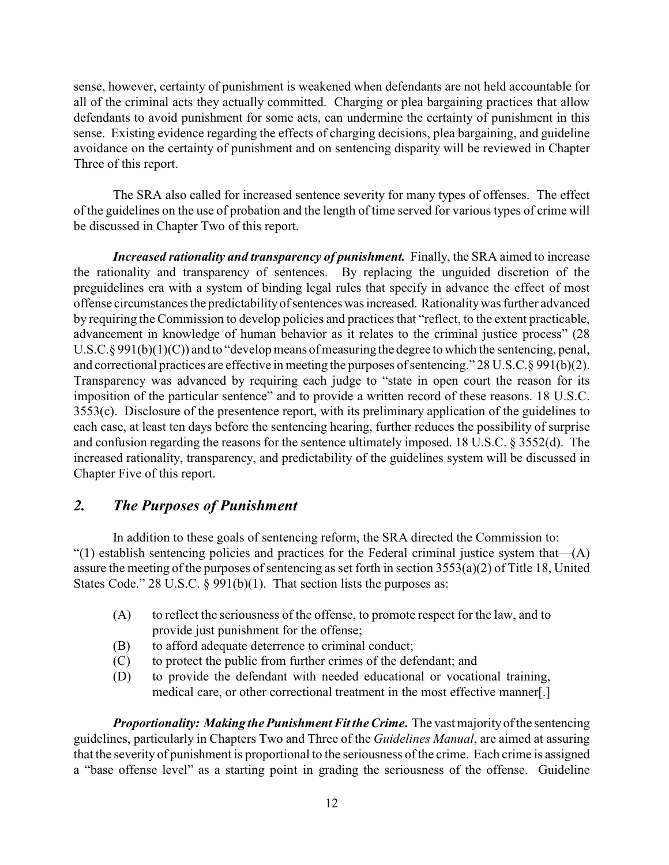sense, however, certainty of punishment is weakened when defendants are not held accountable for all of the criminal acts they actually committed. Charging or plea bargaining practices that allow defendants to avoid punishment for some acts, can undermine the certainty of punishment in this sense. Existing evidence regarding the effects of charging decisions, plea bargaining, and guideline avoidance on the certainty of punishment and on sentencing disparity will be reviewed in Chapter Three of this report.

The SRA also called for increased sentence severity for many types of offenses. The effect of the guidelines on the use of probation and the length of time served for various types of crime will be discussed in Chapter Two of this report.

*Increased rationality and transparency of punishment.* Finally, the SRA aimed to increase the rationality and transparency of sentences. By replacing the unguided discretion of the preguidelines era with a system of binding legal rules that specify in advance the effect of most offense circumstances the predictability of sentences was increased. Rationality was further advanced by requiring the Commission to develop policies and practices that "reflect, to the extent practicable, advancement in knowledge of human behavior as it relates to the criminal justice process" (28 U.S.C.§ 991(b)(1)(C)) and to "develop means of measuring the degree to which the sentencing, penal, and correctional practices are effective in meeting the purposes of sentencing." 28 U.S.C.§ 991(b)(2). Transparency was advanced by requiring each judge to "state in open court the reason for its imposition of the particular sentence" and to provide a written record of these reasons. 18 U.S.C. 3553(c). Disclosure of the presentence report, with its preliminary application of the guidelines to each case, at least ten days before the sentencing hearing, further reduces the possibility of surprise and confusion regarding the reasons for the sentence ultimately imposed. 18 U.S.C. § 3552(d). The increased rationality, transparency, and predictability of the guidelines system will be discussed in Chapter Five of this report.

#### *2. The Purposes of Punishment*

In addition to these goals of sentencing reform, the SRA directed the Commission to: "(1) establish sentencing policies and practices for the Federal criminal justice system that—(A) assure the meeting of the purposes of sentencing as set forth in section 3553(a)(2) of Title 18, United States Code." 28 U.S.C.  $\S$  991(b)(1). That section lists the purposes as:

- (A) to reflect the seriousness of the offense, to promote respect for the law, and to provide just punishment for the offense;
- (B) to afford adequate deterrence to criminal conduct;
- (C) to protect the public from further crimes of the defendant; and
- (D) to provide the defendant with needed educational or vocational training, medical care, or other correctional treatment in the most effective manner[.]

*Proportionality: Making the Punishment Fit the Crime.* The vast majority of the sentencing guidelines, particularly in Chapters Two and Three of the *Guidelines Manual*, are aimed at assuring that the severity of punishment is proportional to the seriousness of the crime. Each crime is assigned a "base offense level" as a starting point in grading the seriousness of the offense. Guideline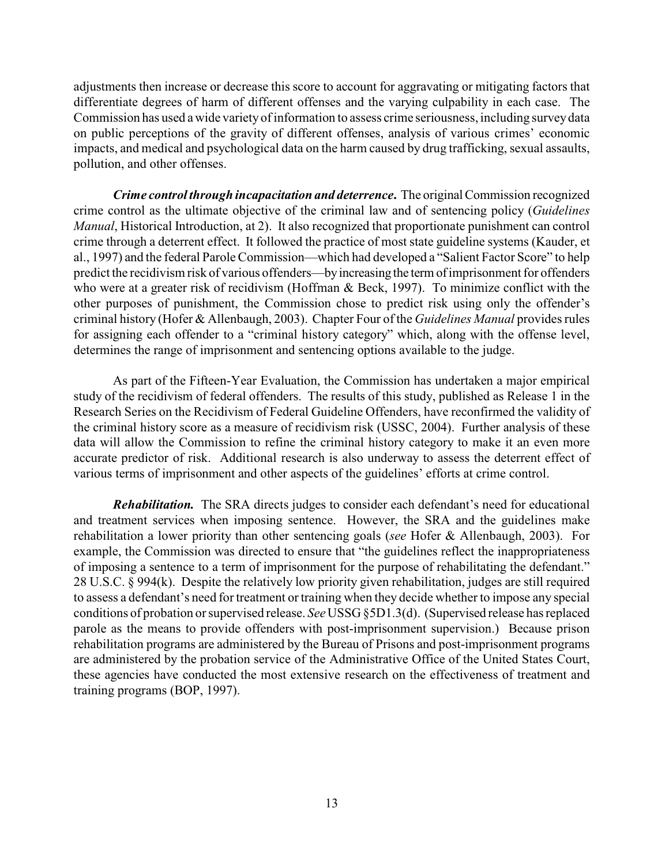adjustments then increase or decrease this score to account for aggravating or mitigating factors that differentiate degrees of harm of different offenses and the varying culpability in each case. The Commission has used a wide variety of information to assess crime seriousness, including survey data on public perceptions of the gravity of different offenses, analysis of various crimes' economic impacts, and medical and psychological data on the harm caused by drug trafficking, sexual assaults, pollution, and other offenses.

*Crime control through incapacitation and deterrence***.** The original Commission recognized crime control as the ultimate objective of the criminal law and of sentencing policy (*Guidelines Manual*, Historical Introduction, at 2). It also recognized that proportionate punishment can control crime through a deterrent effect. It followed the practice of most state guideline systems (Kauder, et al., 1997) and the federal Parole Commission—which had developed a "Salient Factor Score" to help predict the recidivism risk of various offenders—by increasing the term of imprisonment for offenders who were at a greater risk of recidivism (Hoffman & Beck, 1997). To minimize conflict with the other purposes of punishment, the Commission chose to predict risk using only the offender's criminal history (Hofer & Allenbaugh, 2003). Chapter Four of the *Guidelines Manual* provides rules for assigning each offender to a "criminal history category" which, along with the offense level, determines the range of imprisonment and sentencing options available to the judge.

As part of the Fifteen-Year Evaluation, the Commission has undertaken a major empirical study of the recidivism of federal offenders. The results of this study, published as Release 1 in the Research Series on the Recidivism of Federal Guideline Offenders, have reconfirmed the validity of the criminal history score as a measure of recidivism risk (USSC, 2004). Further analysis of these data will allow the Commission to refine the criminal history category to make it an even more accurate predictor of risk. Additional research is also underway to assess the deterrent effect of various terms of imprisonment and other aspects of the guidelines' efforts at crime control.

*Rehabilitation.* The SRA directs judges to consider each defendant's need for educational and treatment services when imposing sentence. However, the SRA and the guidelines make rehabilitation a lower priority than other sentencing goals (*see* Hofer & Allenbaugh, 2003). For example, the Commission was directed to ensure that "the guidelines reflect the inappropriateness of imposing a sentence to a term of imprisonment for the purpose of rehabilitating the defendant." 28 U.S.C. § 994(k). Despite the relatively low priority given rehabilitation, judges are still required to assess a defendant's need for treatment or training when they decide whether to impose any special conditions of probation or supervised release. *See* USSG §5D1.3(d). (Supervised release has replaced parole as the means to provide offenders with post-imprisonment supervision.) Because prison rehabilitation programs are administered by the Bureau of Prisons and post-imprisonment programs are administered by the probation service of the Administrative Office of the United States Court, these agencies have conducted the most extensive research on the effectiveness of treatment and training programs (BOP, 1997).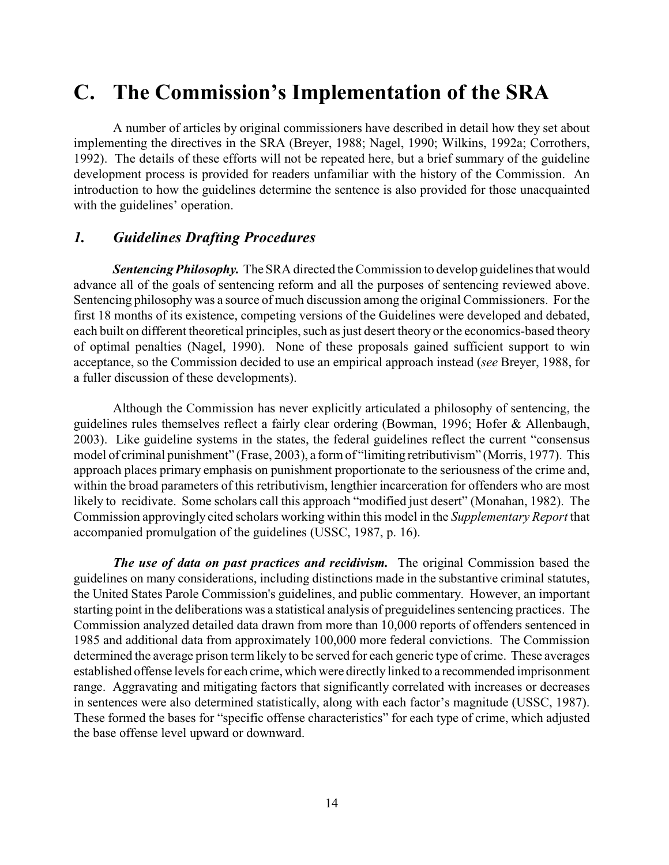## **C. The Commission's Implementation of the SRA**

A number of articles by original commissioners have described in detail how they set about implementing the directives in the SRA (Breyer, 1988; Nagel, 1990; Wilkins, 1992a; Corrothers, 1992). The details of these efforts will not be repeated here, but a brief summary of the guideline development process is provided for readers unfamiliar with the history of the Commission. An introduction to how the guidelines determine the sentence is also provided for those unacquainted with the guidelines' operation.

#### *1. Guidelines Drafting Procedures*

**Sentencing Philosophy.** The SRA directed the Commission to develop guidelines that would advance all of the goals of sentencing reform and all the purposes of sentencing reviewed above. Sentencing philosophy was a source of much discussion among the original Commissioners. For the first 18 months of its existence, competing versions of the Guidelines were developed and debated, each built on different theoretical principles, such as just desert theory or the economics-based theory of optimal penalties (Nagel, 1990). None of these proposals gained sufficient support to win acceptance, so the Commission decided to use an empirical approach instead (*see* Breyer, 1988, for a fuller discussion of these developments).

Although the Commission has never explicitly articulated a philosophy of sentencing, the guidelines rules themselves reflect a fairly clear ordering (Bowman, 1996; Hofer & Allenbaugh, 2003). Like guideline systems in the states, the federal guidelines reflect the current "consensus model of criminal punishment" (Frase, 2003), a formof "limiting retributivism" (Morris, 1977). This approach places primary emphasis on punishment proportionate to the seriousness of the crime and, within the broad parameters of this retributivism, lengthier incarceration for offenders who are most likely to recidivate. Some scholars call this approach "modified just desert" (Monahan, 1982). The Commission approvingly cited scholars working within this model in the *Supplementary Report* that accompanied promulgation of the guidelines (USSC, 1987, p. 16).

*The use of data on past practices and recidivism.* The original Commission based the guidelines on many considerations, including distinctions made in the substantive criminal statutes, the United States Parole Commission's guidelines, and public commentary. However, an important starting point in the deliberations was a statistical analysis of preguidelines sentencing practices. The Commission analyzed detailed data drawn from more than 10,000 reports of offenders sentenced in 1985 and additional data from approximately 100,000 more federal convictions. The Commission determined the average prison term likely to be served for each generic type of crime. These averages established offense levels for each crime, which were directly linked to a recommended imprisonment range. Aggravating and mitigating factors that significantly correlated with increases or decreases in sentences were also determined statistically, along with each factor's magnitude (USSC, 1987). These formed the bases for "specific offense characteristics" for each type of crime, which adjusted the base offense level upward or downward.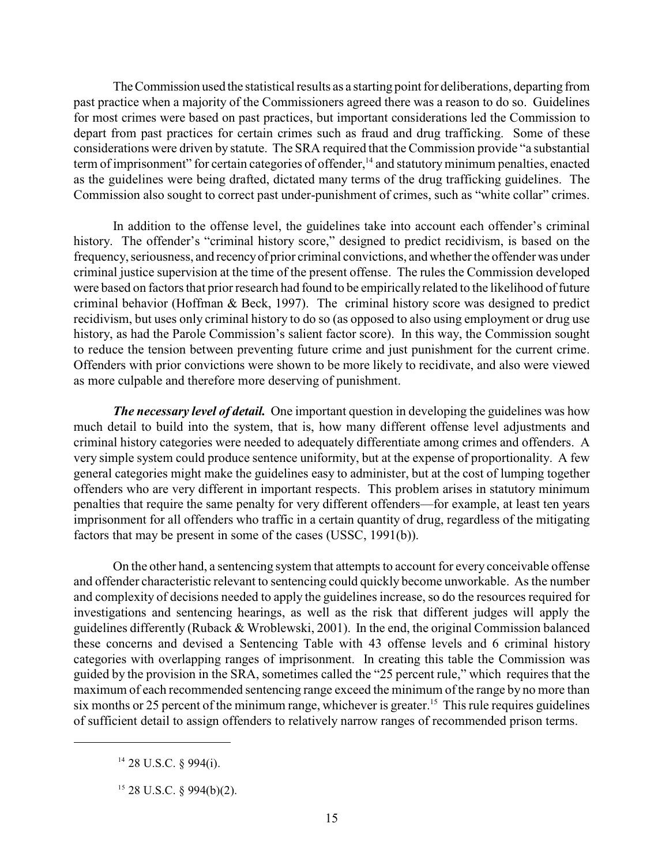The Commission used the statistical results as a starting point for deliberations, departing from past practice when a majority of the Commissioners agreed there was a reason to do so. Guidelines for most crimes were based on past practices, but important considerations led the Commission to depart from past practices for certain crimes such as fraud and drug trafficking. Some of these considerations were driven by statute. The SRA required that the Commission provide "a substantial term of imprisonment" for certain categories of offender,<sup>14</sup> and statutory minimum penalties, enacted as the guidelines were being drafted, dictated many terms of the drug trafficking guidelines. The Commission also sought to correct past under-punishment of crimes, such as "white collar" crimes.

In addition to the offense level, the guidelines take into account each offender's criminal history. The offender's "criminal history score," designed to predict recidivism, is based on the frequency, seriousness, and recency of prior criminal convictions, and whether the offender was under criminal justice supervision at the time of the present offense. The rules the Commission developed were based on factors that prior research had found to be empirically related to the likelihood of future criminal behavior (Hoffman & Beck, 1997). The criminal history score was designed to predict recidivism, but uses only criminal history to do so (as opposed to also using employment or drug use history, as had the Parole Commission's salient factor score). In this way, the Commission sought to reduce the tension between preventing future crime and just punishment for the current crime. Offenders with prior convictions were shown to be more likely to recidivate, and also were viewed as more culpable and therefore more deserving of punishment.

*The necessary level of detail.* One important question in developing the guidelines was how much detail to build into the system, that is, how many different offense level adjustments and criminal history categories were needed to adequately differentiate among crimes and offenders. A very simple system could produce sentence uniformity, but at the expense of proportionality. A few general categories might make the guidelines easy to administer, but at the cost of lumping together offenders who are very different in important respects. This problem arises in statutory minimum penalties that require the same penalty for very different offenders—for example, at least ten years imprisonment for all offenders who traffic in a certain quantity of drug, regardless of the mitigating factors that may be present in some of the cases (USSC, 1991(b)).

On the other hand, a sentencing system that attempts to account for every conceivable offense and offender characteristic relevant to sentencing could quickly become unworkable. As the number and complexity of decisions needed to apply the guidelines increase, so do the resources required for investigations and sentencing hearings, as well as the risk that different judges will apply the guidelines differently (Ruback & Wroblewski, 2001). In the end, the original Commission balanced these concerns and devised a Sentencing Table with 43 offense levels and 6 criminal history categories with overlapping ranges of imprisonment. In creating this table the Commission was guided by the provision in the SRA, sometimes called the "25 percent rule," which requires that the maximum of each recommended sentencing range exceed the minimum of the range by no more than six months or 25 percent of the minimum range, whichever is greater.<sup>15</sup> This rule requires guidelines of sufficient detail to assign offenders to relatively narrow ranges of recommended prison terms.

 $14$  28 U.S.C. § 994(i).

 $15$  28 U.S.C. § 994(b)(2).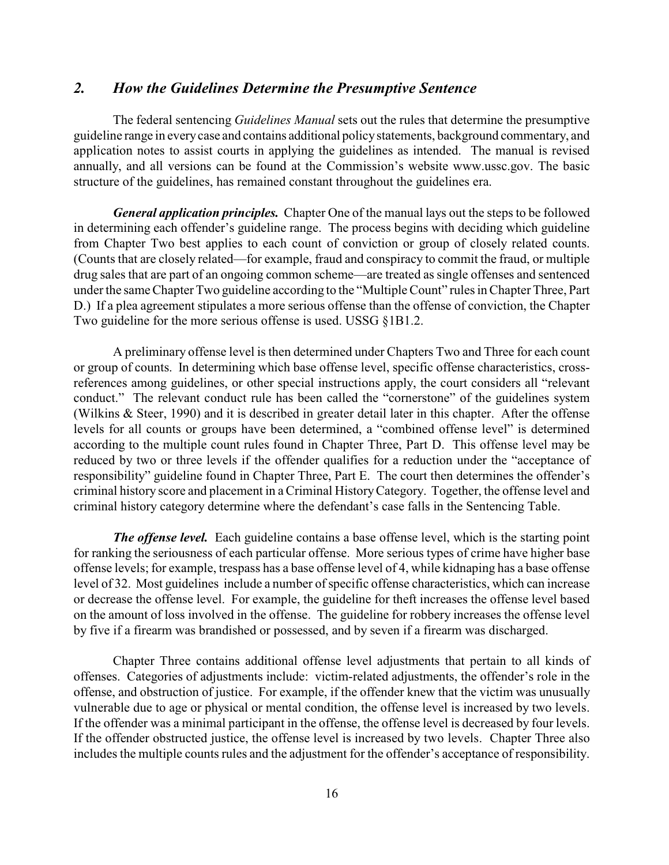#### *2. How the Guidelines Determine the Presumptive Sentence*

The federal sentencing *Guidelines Manual* sets out the rules that determine the presumptive guideline range in every case and contains additional policy statements, background commentary, and application notes to assist courts in applying the guidelines as intended. The manual is revised annually, and all versions can be found at the Commission's website www.ussc.gov. The basic structure of the guidelines, has remained constant throughout the guidelines era.

*General application principles.* Chapter One of the manual lays out the steps to be followed in determining each offender's guideline range. The process begins with deciding which guideline from Chapter Two best applies to each count of conviction or group of closely related counts. (Counts that are closely related—for example, fraud and conspiracy to commit the fraud, or multiple drug sales that are part of an ongoing common scheme—are treated as single offenses and sentenced under the same Chapter Two guideline according to the "Multiple Count" rules in Chapter Three, Part D.) If a plea agreement stipulates a more serious offense than the offense of conviction, the Chapter Two guideline for the more serious offense is used. USSG §1B1.2.

A preliminary offense level is then determined under Chapters Two and Three for each count or group of counts. In determining which base offense level, specific offense characteristics, crossreferences among guidelines, or other special instructions apply, the court considers all "relevant conduct." The relevant conduct rule has been called the "cornerstone" of the guidelines system (Wilkins & Steer, 1990) and it is described in greater detail later in this chapter. After the offense levels for all counts or groups have been determined, a "combined offense level" is determined according to the multiple count rules found in Chapter Three, Part D. This offense level may be reduced by two or three levels if the offender qualifies for a reduction under the "acceptance of responsibility" guideline found in Chapter Three, Part E. The court then determines the offender's criminal history score and placement in a Criminal HistoryCategory. Together, the offense level and criminal history category determine where the defendant's case falls in the Sentencing Table.

*The offense level.* Each guideline contains a base offense level, which is the starting point for ranking the seriousness of each particular offense. More serious types of crime have higher base offense levels; for example, trespass has a base offense level of 4, while kidnaping has a base offense level of 32. Most guidelines include a number of specific offense characteristics, which can increase or decrease the offense level. For example, the guideline for theft increases the offense level based on the amount of loss involved in the offense. The guideline for robbery increases the offense level by five if a firearm was brandished or possessed, and by seven if a firearm was discharged.

Chapter Three contains additional offense level adjustments that pertain to all kinds of offenses. Categories of adjustments include: victim-related adjustments, the offender's role in the offense, and obstruction of justice. For example, if the offender knew that the victim was unusually vulnerable due to age or physical or mental condition, the offense level is increased by two levels. If the offender was a minimal participant in the offense, the offense level is decreased by four levels. If the offender obstructed justice, the offense level is increased by two levels. Chapter Three also includes the multiple counts rules and the adjustment for the offender's acceptance of responsibility.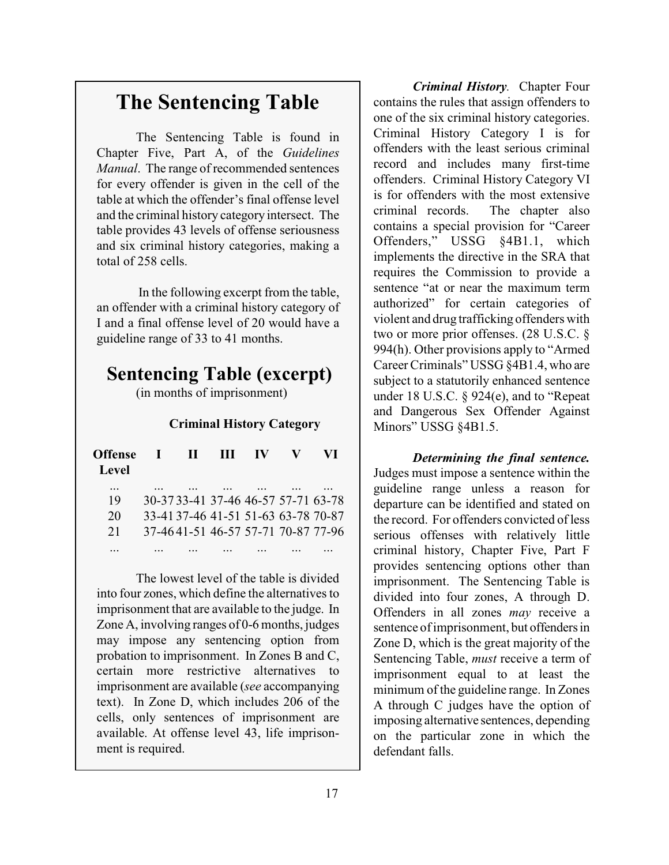### **The Sentencing Table**

The Sentencing Table is found in Chapter Five, Part A, of the *Guidelines Manual*. The range of recommended sentences for every offender is given in the cell of the table at which the offender's final offense level and the criminal history category intersect. The table provides 43 levels of offense seriousness and six criminal history categories, making a total of 258 cells.

 In the following excerpt from the table, an offender with a criminal history category of I and a final offense level of 20 would have a guideline range of 33 to 41 months.

### **Sentencing Table (excerpt)**

(in months of imprisonment)

#### **Criminal History Category**

| <b>Offense</b> | -12 | $\mathbf{I}$ | ш                                  | <b>IV</b> | V I |
|----------------|-----|--------------|------------------------------------|-----------|-----|
| Level          |     |              |                                    |           |     |
| $\cdots$<br>19 |     |              | 30-3733-41 37-46 46-57 57-71 63-78 |           |     |
| 20             |     |              | 33-4137-46 41-51 51-63 63-78 70-87 |           |     |
| 21             |     |              | 37-4641-51 46-57 57-71 70-87 77-96 |           |     |
|                |     |              |                                    |           |     |

The lowest level of the table is divided into four zones, which define the alternatives to imprisonment that are available to the judge. In Zone A, involving ranges of 0-6 months, judges may impose any sentencing option from probation to imprisonment. In Zones B and C, certain more restrictive alternatives to imprisonment are available (*see* accompanying text). In Zone D, which includes 206 of the cells, only sentences of imprisonment are available. At offense level 43, life imprisonment is required.

*Criminal History.* Chapter Four contains the rules that assign offenders to one of the six criminal history categories. Criminal History Category I is for offenders with the least serious criminal record and includes many first-time offenders. Criminal History Category VI is for offenders with the most extensive criminal records. The chapter also contains a special provision for "Career Offenders," USSG §4B1.1, which implements the directive in the SRA that requires the Commission to provide a sentence "at or near the maximum term authorized" for certain categories of violent and drug trafficking offenders with two or more prior offenses. (28 U.S.C. § 994(h). Other provisions apply to "Armed Career Criminals" USSG §4B1.4, who are subject to a statutorily enhanced sentence under 18 U.S.C. § 924(e), and to "Repeat and Dangerous Sex Offender Against Minors" USSG §4B1.5.

*Determining the final sentence.* Judges must impose a sentence within the guideline range unless a reason for departure can be identified and stated on the record. For offenders convicted of less serious offenses with relatively little criminal history, Chapter Five, Part F provides sentencing options other than imprisonment. The Sentencing Table is divided into four zones, A through D. Offenders in all zones *may* receive a sentence of imprisonment, but offenders in Zone D, which is the great majority of the Sentencing Table, *must* receive a term of imprisonment equal to at least the minimum of the guideline range. In Zones A through C judges have the option of imposing alternative sentences, depending on the particular zone in which the defendant falls.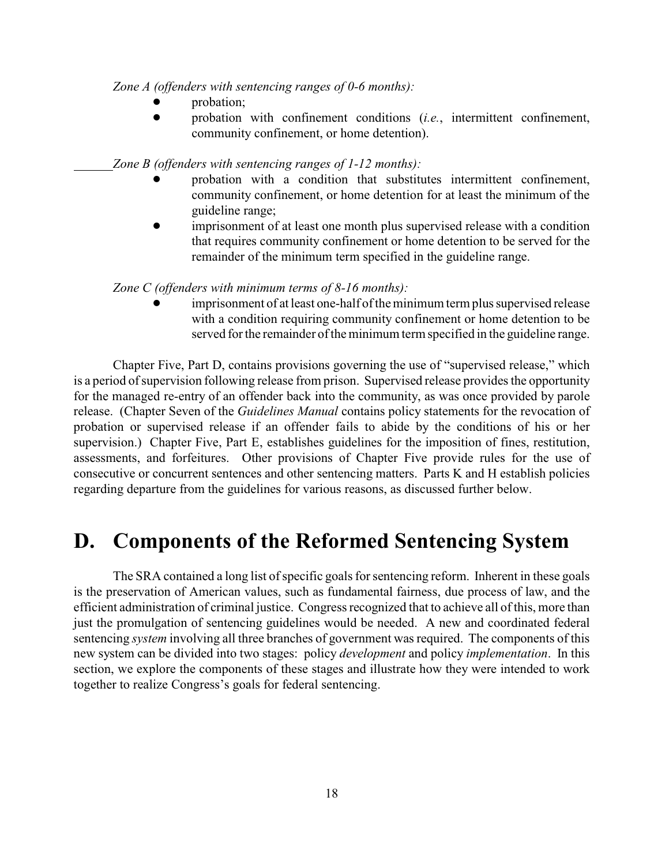*Zone A (offenders with sentencing ranges of 0-6 months):*

- probation;
- probation with confinement conditions (*i.e.*, intermittent confinement, community confinement, or home detention).

*Zone B (offenders with sentencing ranges of 1-12 months):*

- probation with a condition that substitutes intermittent confinement, community confinement, or home detention for at least the minimum of the guideline range;
- imprisonment of at least one month plus supervised release with a condition that requires community confinement or home detention to be served for the remainder of the minimum term specified in the guideline range.

*Zone C (offenders with minimum terms of 8-16 months):*

! imprisonment of at least one-half of the minimum term plus supervised release with a condition requiring community confinement or home detention to be served for the remainder of the minimum term specified in the guideline range.

Chapter Five, Part D, contains provisions governing the use of "supervised release," which is a period of supervision following release from prison. Supervised release provides the opportunity for the managed re-entry of an offender back into the community, as was once provided by parole release. (Chapter Seven of the *Guidelines Manual* contains policy statements for the revocation of probation or supervised release if an offender fails to abide by the conditions of his or her supervision.) Chapter Five, Part E, establishes guidelines for the imposition of fines, restitution, assessments, and forfeitures. Other provisions of Chapter Five provide rules for the use of consecutive or concurrent sentences and other sentencing matters. Parts K and H establish policies regarding departure from the guidelines for various reasons, as discussed further below.

### **D. Components of the Reformed Sentencing System**

The SRA contained a long list of specific goals for sentencing reform. Inherent in these goals is the preservation of American values, such as fundamental fairness, due process of law, and the efficient administration of criminal justice. Congress recognized that to achieve all of this, more than just the promulgation of sentencing guidelines would be needed. A new and coordinated federal sentencing *system* involving all three branches of government was required. The components of this new system can be divided into two stages: policy *development* and policy *implementation*. In this section, we explore the components of these stages and illustrate how they were intended to work together to realize Congress's goals for federal sentencing.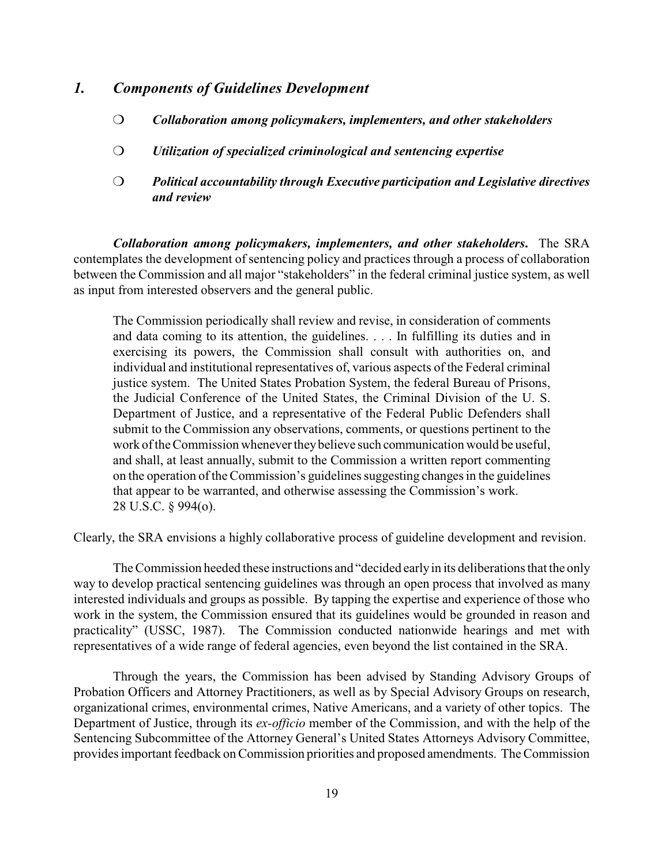#### *1. Components of Guidelines Development*

- *Collaboration among policymakers, implementers, and other stakeholders*
- *Utilization of specialized criminological and sentencing expertise*
- *Political accountability through Executive participation and Legislative directives and review*

*Collaboration among policymakers, implementers, and other stakeholders***.** The SRA contemplates the development of sentencing policy and practices through a process of collaboration between the Commission and all major "stakeholders" in the federal criminal justice system, as well as input from interested observers and the general public.

The Commission periodically shall review and revise, in consideration of comments and data coming to its attention, the guidelines. . . . In fulfilling its duties and in exercising its powers, the Commission shall consult with authorities on, and individual and institutional representatives of, various aspects of the Federal criminal justice system. The United States Probation System, the federal Bureau of Prisons, the Judicial Conference of the United States, the Criminal Division of the U. S. Department of Justice, and a representative of the Federal Public Defenders shall submit to the Commission any observations, comments, or questions pertinent to the work of the Commission whenever they believe such communication would be useful, and shall, at least annually, submit to the Commission a written report commenting on the operation of the Commission's guidelines suggesting changes in the guidelines that appear to be warranted, and otherwise assessing the Commission's work. 28 U.S.C. § 994(o).

Clearly, the SRA envisions a highly collaborative process of guideline development and revision.

The Commission heeded these instructions and "decided early in its deliberations that the only way to develop practical sentencing guidelines was through an open process that involved as many interested individuals and groups as possible. By tapping the expertise and experience of those who work in the system, the Commission ensured that its guidelines would be grounded in reason and practicality" (USSC, 1987). The Commission conducted nationwide hearings and met with representatives of a wide range of federal agencies, even beyond the list contained in the SRA.

Through the years, the Commission has been advised by Standing Advisory Groups of Probation Officers and Attorney Practitioners, as well as by Special Advisory Groups on research, organizational crimes, environmental crimes, Native Americans, and a variety of other topics. The Department of Justice, through its *ex-officio* member of the Commission, and with the help of the Sentencing Subcommittee of the Attorney General's United States Attorneys Advisory Committee, provides important feedback on Commission priorities and proposed amendments. The Commission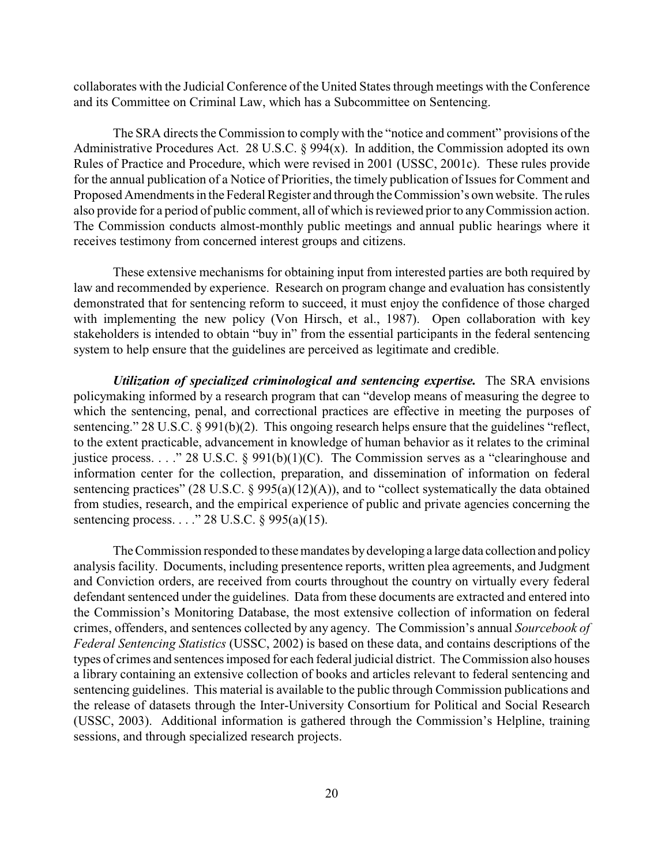collaborates with the Judicial Conference of the United States through meetings with the Conference and its Committee on Criminal Law, which has a Subcommittee on Sentencing.

The SRA directs the Commission to comply with the "notice and comment" provisions of the Administrative Procedures Act. 28 U.S.C.  $\S 994(x)$ . In addition, the Commission adopted its own Rules of Practice and Procedure, which were revised in 2001 (USSC, 2001c). These rules provide for the annual publication of a Notice of Priorities, the timely publication of Issues for Comment and Proposed Amendments in the Federal Register and through the Commission's own website. The rules also provide for a period of public comment, all of which is reviewed prior to any Commission action. The Commission conducts almost-monthly public meetings and annual public hearings where it receives testimony from concerned interest groups and citizens.

These extensive mechanisms for obtaining input from interested parties are both required by law and recommended by experience. Research on program change and evaluation has consistently demonstrated that for sentencing reform to succeed, it must enjoy the confidence of those charged with implementing the new policy (Von Hirsch, et al., 1987). Open collaboration with key stakeholders is intended to obtain "buy in" from the essential participants in the federal sentencing system to help ensure that the guidelines are perceived as legitimate and credible.

*Utilization of specialized criminological and sentencing expertise.* The SRA envisions policymaking informed by a research program that can "develop means of measuring the degree to which the sentencing, penal, and correctional practices are effective in meeting the purposes of sentencing." 28 U.S.C. § 991(b)(2). This ongoing research helps ensure that the guidelines "reflect, to the extent practicable, advancement in knowledge of human behavior as it relates to the criminal justice process. . . ." 28 U.S.C. § 991(b)(1)(C). The Commission serves as a "clearinghouse and information center for the collection, preparation, and dissemination of information on federal sentencing practices" (28 U.S.C. § 995(a)(12)(A)), and to "collect systematically the data obtained from studies, research, and the empirical experience of public and private agencies concerning the sentencing process. . . ." 28 U.S.C. § 995(a)(15).

The Commission responded to these mandates by developing a large data collection and policy analysis facility. Documents, including presentence reports, written plea agreements, and Judgment and Conviction orders, are received from courts throughout the country on virtually every federal defendant sentenced under the guidelines. Data from these documents are extracted and entered into the Commission's Monitoring Database, the most extensive collection of information on federal crimes, offenders, and sentences collected by any agency. The Commission's annual *Sourcebook of Federal Sentencing Statistics* (USSC, 2002) is based on these data, and contains descriptions of the types of crimes and sentences imposed for each federal judicial district. The Commission also houses a library containing an extensive collection of books and articles relevant to federal sentencing and sentencing guidelines. This material is available to the public through Commission publications and the release of datasets through the Inter-University Consortium for Political and Social Research (USSC, 2003). Additional information is gathered through the Commission's Helpline, training sessions, and through specialized research projects.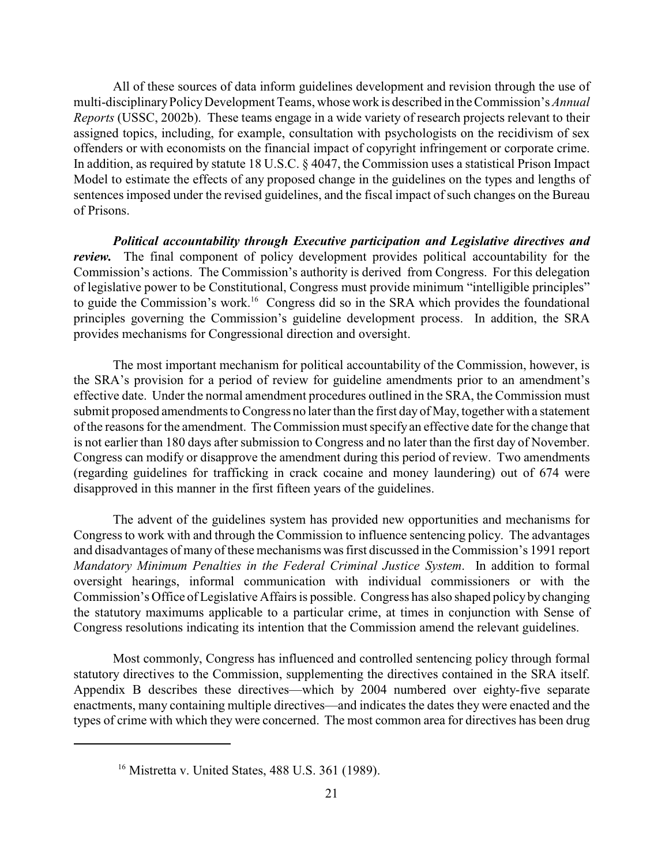All of these sources of data inform guidelines development and revision through the use of multi-disciplinary Policy Development Teams, whose work is described in the Commission's *Annual Reports* (USSC, 2002b). These teams engage in a wide variety of research projects relevant to their assigned topics, including, for example, consultation with psychologists on the recidivism of sex offenders or with economists on the financial impact of copyright infringement or corporate crime. In addition, as required by statute 18 U.S.C. § 4047, the Commission uses a statistical Prison Impact Model to estimate the effects of any proposed change in the guidelines on the types and lengths of sentences imposed under the revised guidelines, and the fiscal impact of such changes on the Bureau of Prisons.

*Political accountability through Executive participation and Legislative directives and review.* The final component of policy development provides political accountability for the Commission's actions. The Commission's authority is derived from Congress. For this delegation of legislative power to be Constitutional, Congress must provide minimum "intelligible principles" to guide the Commission's work.<sup>16</sup> Congress did so in the SRA which provides the foundational principles governing the Commission's guideline development process. In addition, the SRA provides mechanisms for Congressional direction and oversight.

The most important mechanism for political accountability of the Commission, however, is the SRA's provision for a period of review for guideline amendments prior to an amendment's effective date. Under the normal amendment procedures outlined in the SRA, the Commission must submit proposed amendments to Congress no later than the first day of May, together with a statement of the reasons for the amendment. The Commission must specifyan effective date for the change that is not earlier than 180 days after submission to Congress and no later than the first day of November. Congress can modify or disapprove the amendment during this period of review. Two amendments (regarding guidelines for trafficking in crack cocaine and money laundering) out of 674 were disapproved in this manner in the first fifteen years of the guidelines.

The advent of the guidelines system has provided new opportunities and mechanisms for Congress to work with and through the Commission to influence sentencing policy. The advantages and disadvantages of many of these mechanisms was first discussed in the Commission's 1991 report *Mandatory Minimum Penalties in the Federal Criminal Justice System*. In addition to formal oversight hearings, informal communication with individual commissioners or with the Commission's Office of Legislative Affairs is possible. Congress has also shaped policy by changing the statutory maximums applicable to a particular crime, at times in conjunction with Sense of Congress resolutions indicating its intention that the Commission amend the relevant guidelines.

Most commonly, Congress has influenced and controlled sentencing policy through formal statutory directives to the Commission, supplementing the directives contained in the SRA itself. Appendix B describes these directives—which by 2004 numbered over eighty-five separate enactments, many containing multiple directives—and indicates the dates they were enacted and the types of crime with which they were concerned. The most common area for directives has been drug

 $16$  Mistretta v. United States, 488 U.S. 361 (1989).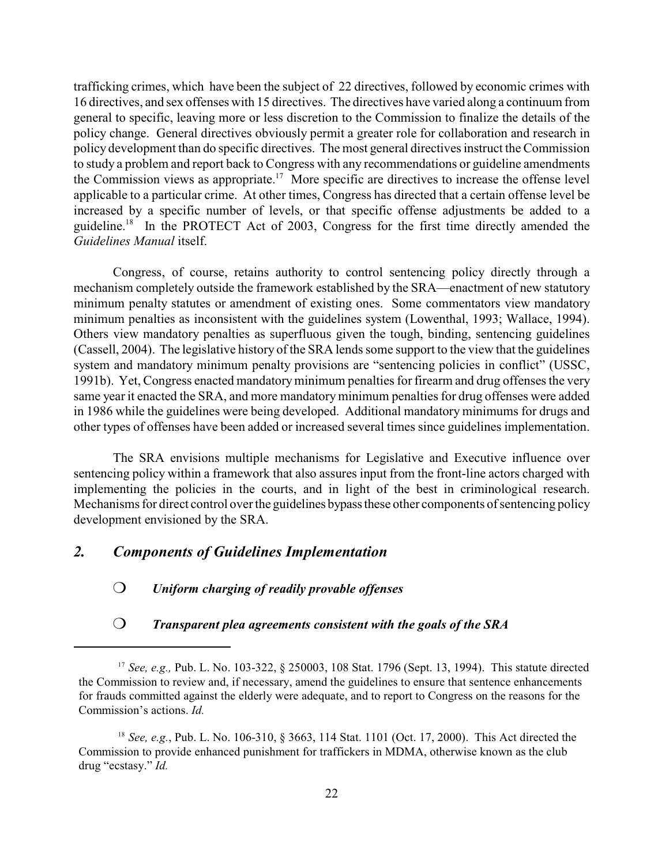trafficking crimes, which have been the subject of 22 directives, followed by economic crimes with 16 directives, and sex offenses with 15 directives. The directives have varied along a continuum from general to specific, leaving more or less discretion to the Commission to finalize the details of the policy change. General directives obviously permit a greater role for collaboration and research in policy development than do specific directives. The most general directives instruct the Commission to study a problem and report back to Congress with any recommendations or guideline amendments the Commission views as appropriate.<sup>17</sup> More specific are directives to increase the offense level applicable to a particular crime. At other times, Congress has directed that a certain offense level be increased by a specific number of levels, or that specific offense adjustments be added to a guideline.<sup>18</sup> In the PROTECT Act of 2003, Congress for the first time directly amended the *Guidelines Manual* itself.

Congress, of course, retains authority to control sentencing policy directly through a mechanism completely outside the framework established by the SRA—enactment of new statutory minimum penalty statutes or amendment of existing ones. Some commentators view mandatory minimum penalties as inconsistent with the guidelines system (Lowenthal, 1993; Wallace, 1994). Others view mandatory penalties as superfluous given the tough, binding, sentencing guidelines (Cassell, 2004). The legislative history of the SRA lends some support to the view that the guidelines system and mandatory minimum penalty provisions are "sentencing policies in conflict" (USSC, 1991b). Yet, Congress enacted mandatory minimum penalties for firearm and drug offenses the very same year it enacted the SRA, and more mandatory minimum penalties for drug offenses were added in 1986 while the guidelines were being developed. Additional mandatory minimums for drugs and other types of offenses have been added or increased several times since guidelines implementation.

The SRA envisions multiple mechanisms for Legislative and Executive influence over sentencing policy within a framework that also assures input from the front-line actors charged with implementing the policies in the courts, and in light of the best in criminological research. Mechanisms for direct control over the guidelines bypass these other components of sentencing policy development envisioned by the SRA.

#### *2. Components of Guidelines Implementation*

#### *Uniform charging of readily provable offenses*

#### *Transparent plea agreements consistent with the goals of the SRA*

<sup>&</sup>lt;sup>17</sup> See, e.g., Pub. L. No. 103-322, § 250003, 108 Stat. 1796 (Sept. 13, 1994). This statute directed the Commission to review and, if necessary, amend the guidelines to ensure that sentence enhancements for frauds committed against the elderly were adequate, and to report to Congress on the reasons for the Commission's actions. *Id.*

<sup>&</sup>lt;sup>18</sup> See, e.g., Pub. L. No. 106-310, § 3663, 114 Stat. 1101 (Oct. 17, 2000). This Act directed the Commission to provide enhanced punishment for traffickers in MDMA, otherwise known as the club drug "ecstasy." *Id.*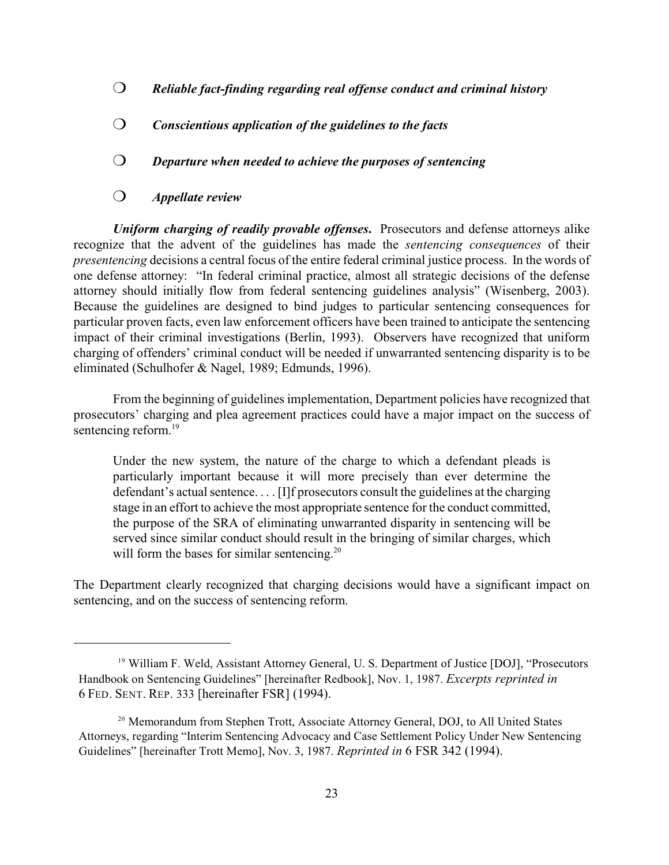- *Reliable fact-finding regarding real offense conduct and criminal history*
- *Conscientious application of the guidelines to the facts*
- *Departure when needed to achieve the purposes of sentencing*
- *Appellate review*

*Uniform charging of readily provable offenses***.** Prosecutors and defense attorneys alike recognize that the advent of the guidelines has made the *sentencing consequences* of their *presentencing* decisions a central focus of the entire federal criminal justice process. In the words of one defense attorney: "In federal criminal practice, almost all strategic decisions of the defense attorney should initially flow from federal sentencing guidelines analysis" (Wisenberg, 2003). Because the guidelines are designed to bind judges to particular sentencing consequences for particular proven facts, even law enforcement officers have been trained to anticipate the sentencing impact of their criminal investigations (Berlin, 1993). Observers have recognized that uniform charging of offenders' criminal conduct will be needed if unwarranted sentencing disparity is to be eliminated (Schulhofer & Nagel, 1989; Edmunds, 1996).

From the beginning of guidelines implementation, Department policies have recognized that prosecutors' charging and plea agreement practices could have a major impact on the success of sentencing reform. 19

Under the new system, the nature of the charge to which a defendant pleads is particularly important because it will more precisely than ever determine the defendant's actual sentence. . . . [I]f prosecutors consult the guidelines at the charging stage in an effort to achieve the most appropriate sentence for the conduct committed, the purpose of the SRA of eliminating unwarranted disparity in sentencing will be served since similar conduct should result in the bringing of similar charges, which will form the bases for similar sentencing.<sup>20</sup>

The Department clearly recognized that charging decisions would have a significant impact on sentencing, and on the success of sentencing reform.

<sup>&</sup>lt;sup>19</sup> William F. Weld, Assistant Attorney General, U. S. Department of Justice [DOJ], "Prosecutors Handbook on Sentencing Guidelines" [hereinafter Redbook], Nov. 1, 1987. *Excerpts reprinted in*  6 FED. SENT. REP. 333 [hereinafter FSR] (1994).

<sup>&</sup>lt;sup>20</sup> Memorandum from Stephen Trott, Associate Attorney General, DOJ, to All United States Attorneys, regarding "Interim Sentencing Advocacy and Case Settlement Policy Under New Sentencing Guidelines" [hereinafter Trott Memo], Nov. 3, 1987. *Reprinted in* 6 FSR 342 (1994).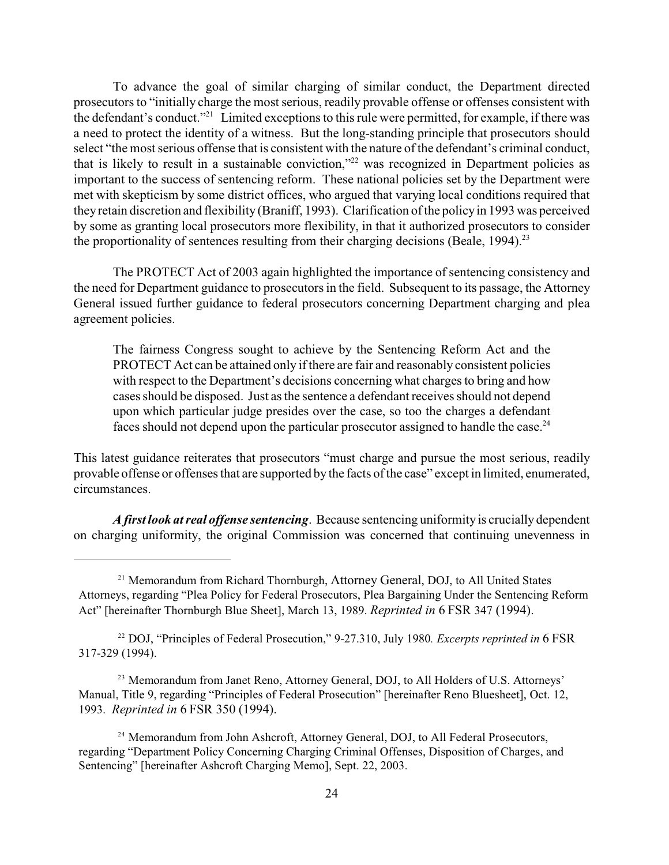To advance the goal of similar charging of similar conduct, the Department directed prosecutors to "initially charge the most serious, readily provable offense or offenses consistent with the defendant's conduct."<sup>21</sup> Limited exceptions to this rule were permitted, for example, if there was a need to protect the identity of a witness. But the long-standing principle that prosecutors should select "the most serious offense that is consistent with the nature of the defendant's criminal conduct, that is likely to result in a sustainable conviction,"<sup>22</sup> was recognized in Department policies as important to the success of sentencing reform. These national policies set by the Department were met with skepticism by some district offices, who argued that varying local conditions required that they retain discretion and flexibility (Braniff, 1993). Clarification of the policy in 1993 was perceived by some as granting local prosecutors more flexibility, in that it authorized prosecutors to consider the proportionality of sentences resulting from their charging decisions (Beale,  $1994$ ).<sup>23</sup>

The PROTECT Act of 2003 again highlighted the importance of sentencing consistency and the need for Department guidance to prosecutors in the field. Subsequent to its passage, the Attorney General issued further guidance to federal prosecutors concerning Department charging and plea agreement policies.

The fairness Congress sought to achieve by the Sentencing Reform Act and the PROTECT Act can be attained only if there are fair and reasonably consistent policies with respect to the Department's decisions concerning what charges to bring and how cases should be disposed. Just as the sentence a defendant receives should not depend upon which particular judge presides over the case, so too the charges a defendant faces should not depend upon the particular prosecutor assigned to handle the case.<sup>24</sup>

This latest guidance reiterates that prosecutors "must charge and pursue the most serious, readily provable offense or offenses that are supported by the facts of the case" except in limited, enumerated, circumstances.

*A first look at real offense sentencing*. Because sentencing uniformity is crucially dependent on charging uniformity, the original Commission was concerned that continuing unevenness in

<sup>&</sup>lt;sup>21</sup> Memorandum from Richard Thornburgh, Attorney General, DOJ, to All United States Attorneys, regarding "Plea Policy for Federal Prosecutors, Plea Bargaining Under the Sentencing Reform Act" [hereinafter Thornburgh Blue Sheet], March 13, 1989. *Reprinted in* 6 FSR 347 (1994).

<sup>&</sup>lt;sup>22</sup> DOJ, "Principles of Federal Prosecution," 9-27.310, July 1980. *Excerpts reprinted in* 6 FSR 317-329 (1994).

<sup>&</sup>lt;sup>23</sup> Memorandum from Janet Reno, Attorney General, DOJ, to All Holders of U.S. Attorneys' Manual, Title 9, regarding "Principles of Federal Prosecution" [hereinafter Reno Bluesheet], Oct. 12, 1993. *Reprinted in* 6 FSR 350 (1994).

<sup>&</sup>lt;sup>24</sup> Memorandum from John Ashcroft, Attorney General, DOJ, to All Federal Prosecutors, regarding "Department Policy Concerning Charging Criminal Offenses, Disposition of Charges, and Sentencing" [hereinafter Ashcroft Charging Memo], Sept. 22, 2003.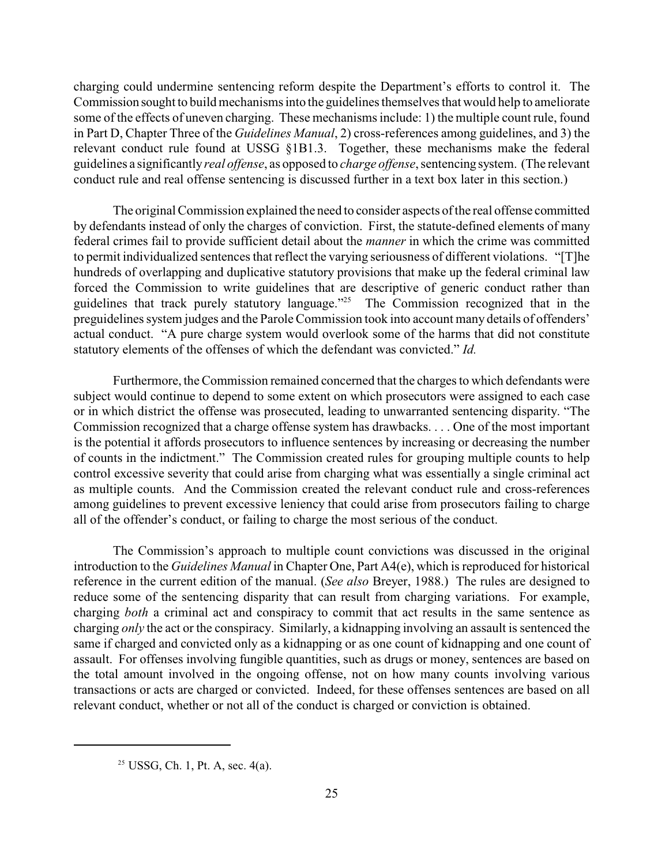charging could undermine sentencing reform despite the Department's efforts to control it. The Commission sought to build mechanisms into the guidelines themselves that would help to ameliorate some of the effects of uneven charging. These mechanisms include: 1) the multiple count rule, found in Part D, Chapter Three of the *Guidelines Manual*, 2) cross-references among guidelines, and 3) the relevant conduct rule found at USSG §1B1.3. Together, these mechanisms make the federal guidelines a significantly *real offense*, as opposed to *charge offense*, sentencing system. (The relevant conduct rule and real offense sentencing is discussed further in a text box later in this section.)

The original Commission explained the need to consider aspects of the real offense committed by defendants instead of only the charges of conviction. First, the statute-defined elements of many federal crimes fail to provide sufficient detail about the *manner* in which the crime was committed to permit individualized sentences that reflect the varying seriousness of different violations. "[T]he hundreds of overlapping and duplicative statutory provisions that make up the federal criminal law forced the Commission to write guidelines that are descriptive of generic conduct rather than guidelines that track purely statutory language."<sup>25</sup> The Commission recognized that in the preguidelines system judges and the Parole Commission took into account many details of offenders' actual conduct. "A pure charge system would overlook some of the harms that did not constitute statutory elements of the offenses of which the defendant was convicted." *Id.* 

Furthermore, the Commission remained concerned that the charges to which defendants were subject would continue to depend to some extent on which prosecutors were assigned to each case or in which district the offense was prosecuted, leading to unwarranted sentencing disparity. "The Commission recognized that a charge offense system has drawbacks. . . . One of the most important is the potential it affords prosecutors to influence sentences by increasing or decreasing the number of counts in the indictment." The Commission created rules for grouping multiple counts to help control excessive severity that could arise from charging what was essentially a single criminal act as multiple counts. And the Commission created the relevant conduct rule and cross-references among guidelines to prevent excessive leniency that could arise from prosecutors failing to charge all of the offender's conduct, or failing to charge the most serious of the conduct.

The Commission's approach to multiple count convictions was discussed in the original introduction to the *Guidelines Manual* in Chapter One, Part A4(e), which is reproduced for historical reference in the current edition of the manual. (*See also* Breyer, 1988.) The rules are designed to reduce some of the sentencing disparity that can result from charging variations. For example, charging *both* a criminal act and conspiracy to commit that act results in the same sentence as charging *only* the act or the conspiracy. Similarly, a kidnapping involving an assault is sentenced the same if charged and convicted only as a kidnapping or as one count of kidnapping and one count of assault. For offenses involving fungible quantities, such as drugs or money, sentences are based on the total amount involved in the ongoing offense, not on how many counts involving various transactions or acts are charged or convicted. Indeed, for these offenses sentences are based on all relevant conduct, whether or not all of the conduct is charged or conviction is obtained.

 $25$  USSG, Ch. 1, Pt. A, sec. 4(a).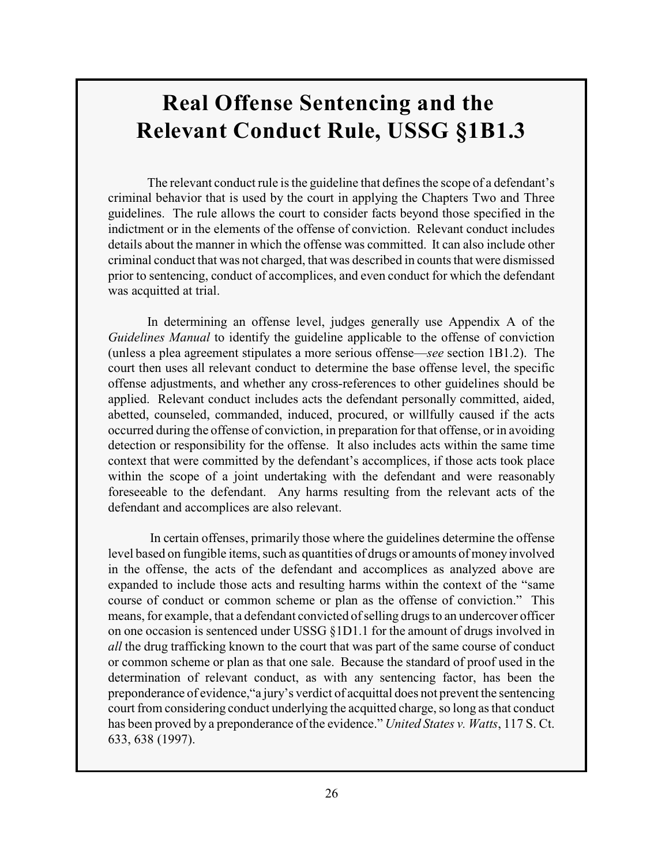## **Real Offense Sentencing and the Relevant Conduct Rule, USSG §1B1.3**

The relevant conduct rule is the guideline that defines the scope of a defendant's criminal behavior that is used by the court in applying the Chapters Two and Three guidelines. The rule allows the court to consider facts beyond those specified in the indictment or in the elements of the offense of conviction. Relevant conduct includes details about the manner in which the offense was committed. It can also include other criminal conduct that was not charged, that was described in counts that were dismissed prior to sentencing, conduct of accomplices, and even conduct for which the defendant was acquitted at trial.

In determining an offense level, judges generally use Appendix A of the *Guidelines Manual* to identify the guideline applicable to the offense of conviction (unless a plea agreement stipulates a more serious offense—*see* section 1B1.2). The court then uses all relevant conduct to determine the base offense level, the specific offense adjustments, and whether any cross-references to other guidelines should be applied. Relevant conduct includes acts the defendant personally committed, aided, abetted, counseled, commanded, induced, procured, or willfully caused if the acts occurred during the offense of conviction, in preparation for that offense, or in avoiding detection or responsibility for the offense. It also includes acts within the same time context that were committed by the defendant's accomplices, if those acts took place within the scope of a joint undertaking with the defendant and were reasonably foreseeable to the defendant. Any harms resulting from the relevant acts of the defendant and accomplices are also relevant.

 In certain offenses, primarily those where the guidelines determine the offense level based on fungible items, such as quantities of drugs or amounts of money involved in the offense, the acts of the defendant and accomplices as analyzed above are expanded to include those acts and resulting harms within the context of the "same course of conduct or common scheme or plan as the offense of conviction." This means, for example, that a defendant convicted of selling drugs to an undercover officer on one occasion is sentenced under USSG §1D1.1 for the amount of drugs involved in *all* the drug trafficking known to the court that was part of the same course of conduct or common scheme or plan as that one sale. Because the standard of proof used in the determination of relevant conduct, as with any sentencing factor, has been the preponderance of evidence,"a jury's verdict of acquittal does not prevent the sentencing court from considering conduct underlying the acquitted charge, so long as that conduct has been proved by a preponderance of the evidence." *United States v. Watts*, 117 S. Ct. 633, 638 (1997).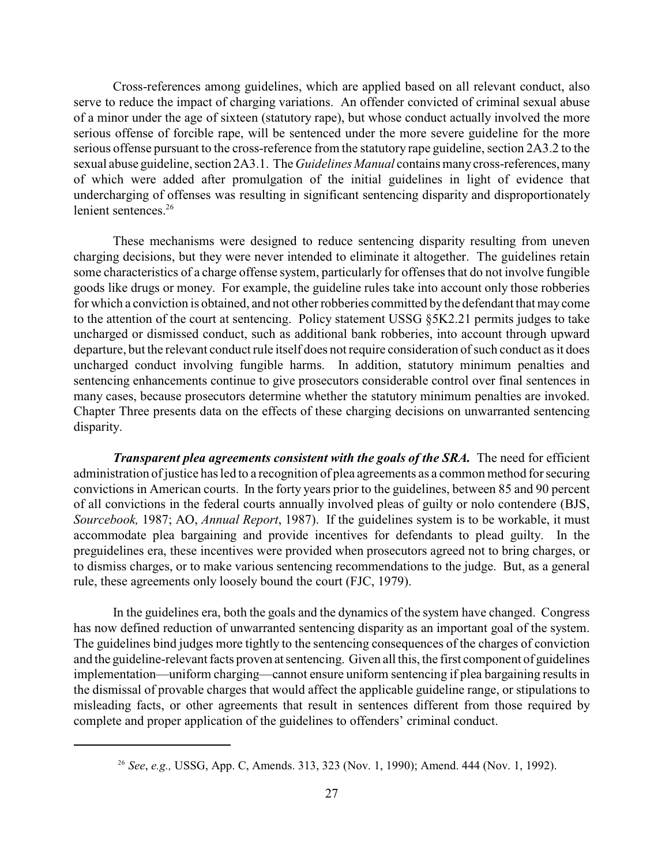Cross-references among guidelines, which are applied based on all relevant conduct, also serve to reduce the impact of charging variations. An offender convicted of criminal sexual abuse of a minor under the age of sixteen (statutory rape), but whose conduct actually involved the more serious offense of forcible rape, will be sentenced under the more severe guideline for the more serious offense pursuant to the cross-reference from the statutory rape guideline, section 2A3.2 to the sexual abuse guideline, section 2A3.1. The *Guidelines Manual* contains many cross-references, many of which were added after promulgation of the initial guidelines in light of evidence that undercharging of offenses was resulting in significant sentencing disparity and disproportionately lenient sentences.<sup>26</sup>

These mechanisms were designed to reduce sentencing disparity resulting from uneven charging decisions, but they were never intended to eliminate it altogether. The guidelines retain some characteristics of a charge offense system, particularly for offenses that do not involve fungible goods like drugs or money. For example, the guideline rules take into account only those robberies for which a conviction is obtained, and not other robberies committed by the defendant that may come to the attention of the court at sentencing. Policy statement USSG §5K2.21 permits judges to take uncharged or dismissed conduct, such as additional bank robberies, into account through upward departure, but the relevant conduct rule itself does not require consideration of such conduct as it does uncharged conduct involving fungible harms. In addition, statutory minimum penalties and sentencing enhancements continue to give prosecutors considerable control over final sentences in many cases, because prosecutors determine whether the statutory minimum penalties are invoked. Chapter Three presents data on the effects of these charging decisions on unwarranted sentencing disparity.

*Transparent plea agreements consistent with the goals of the SRA.* The need for efficient administration of justice has led to a recognition of plea agreements as a common method for securing convictions in American courts. In the forty years prior to the guidelines, between 85 and 90 percent of all convictions in the federal courts annually involved pleas of guilty or nolo contendere (BJS, *Sourcebook,* 1987; AO, *Annual Report*, 1987). If the guidelines system is to be workable, it must accommodate plea bargaining and provide incentives for defendants to plead guilty. In the preguidelines era, these incentives were provided when prosecutors agreed not to bring charges, or to dismiss charges, or to make various sentencing recommendations to the judge. But, as a general rule, these agreements only loosely bound the court (FJC, 1979).

In the guidelines era, both the goals and the dynamics of the system have changed. Congress has now defined reduction of unwarranted sentencing disparity as an important goal of the system. The guidelines bind judges more tightly to the sentencing consequences of the charges of conviction and the guideline-relevant facts proven at sentencing. Given all this, the first component of guidelines implementation—uniform charging—cannot ensure uniform sentencing if plea bargaining results in the dismissal of provable charges that would affect the applicable guideline range, or stipulations to misleading facts, or other agreements that result in sentences different from those required by complete and proper application of the guidelines to offenders' criminal conduct.

<sup>&</sup>lt;sup>26</sup> See, e.g., USSG, App. C, Amends. 313, 323 (Nov. 1, 1990); Amend. 444 (Nov. 1, 1992).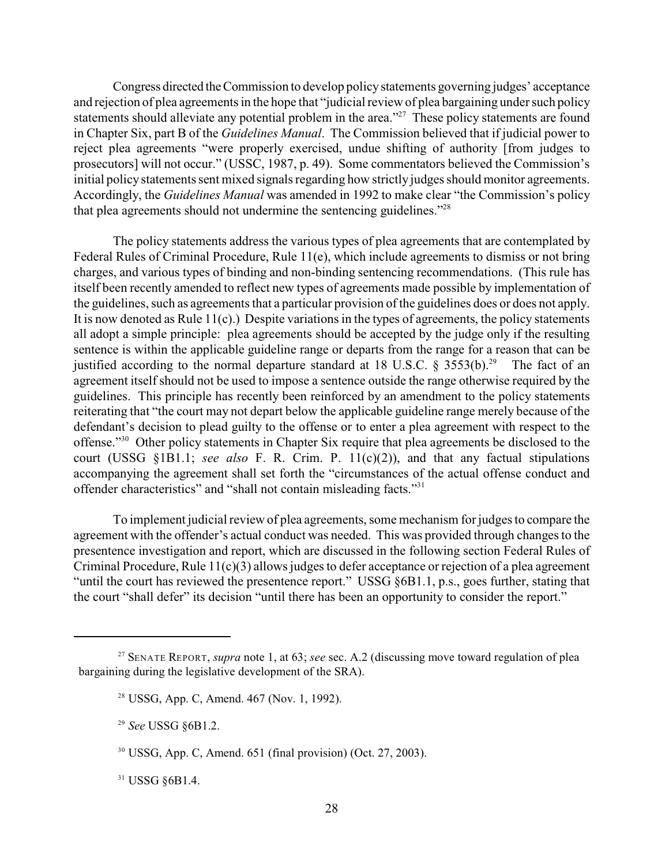Congress directed the Commission to develop policy statements governing judges' acceptance and rejection of plea agreements in the hope that "judicial review of plea bargaining under such policy statements should alleviate any potential problem in the area." $27$  These policy statements are found in Chapter Six, part B of the *Guidelines Manual*. The Commission believed that if judicial power to reject plea agreements "were properly exercised, undue shifting of authority [from judges to prosecutors] will not occur." (USSC, 1987, p. 49). Some commentators believed the Commission's initial policy statements sent mixed signals regarding how strictly judges should monitor agreements. Accordingly, the *Guidelines Manual* was amended in 1992 to make clear "the Commission's policy that plea agreements should not undermine the sentencing guidelines."<sup>28</sup>

The policy statements address the various types of plea agreements that are contemplated by Federal Rules of Criminal Procedure, Rule 11(e), which include agreements to dismiss or not bring charges, and various types of binding and non-binding sentencing recommendations. (This rule has itself been recently amended to reflect new types of agreements made possible by implementation of the guidelines, such as agreements that a particular provision of the guidelines does or does not apply. It is now denoted as Rule  $11(c)$ .) Despite variations in the types of agreements, the policy statements all adopt a simple principle: plea agreements should be accepted by the judge only if the resulting sentence is within the applicable guideline range or departs from the range for a reason that can be justified according to the normal departure standard at 18 U.S.C.  $\S$  3553(b).<sup>29</sup> The fact of an agreement itself should not be used to impose a sentence outside the range otherwise required by the guidelines. This principle has recently been reinforced by an amendment to the policy statements reiterating that "the court may not depart below the applicable guideline range merely because of the defendant's decision to plead guilty to the offense or to enter a plea agreement with respect to the offense."<sup>30</sup> Other policy statements in Chapter Six require that plea agreements be disclosed to the court (USSG §1B1.1; *see also* F. R. Crim. P. 11(c)(2)), and that any factual stipulations accompanying the agreement shall set forth the "circumstances of the actual offense conduct and offender characteristics" and "shall not contain misleading facts."<sup>31</sup>

To implement judicial review of plea agreements, some mechanism for judges to compare the agreement with the offender's actual conduct was needed. This was provided through changes to the presentence investigation and report, which are discussed in the following section Federal Rules of Criminal Procedure, Rule 11(c)(3) allows judges to defer acceptance or rejection of a plea agreement "until the court has reviewed the presentence report." USSG §6B1.1, p.s., goes further, stating that the court "shall defer" its decision "until there has been an opportunity to consider the report."

 $31$  USSG  $§6B1.4$ .

<sup>&</sup>lt;sup>27</sup> SENATE REPORT, *supra* note 1, at 63; *see* sec. A.2 (discussing move toward regulation of plea bargaining during the legislative development of the SRA).

<sup>&</sup>lt;sup>28</sup> USSG, App. C, Amend. 467 (Nov. 1, 1992).

<sup>&</sup>lt;sup>29</sup> See USSG §6B1.2.

 $30$  USSG, App. C, Amend. 651 (final provision) (Oct. 27, 2003).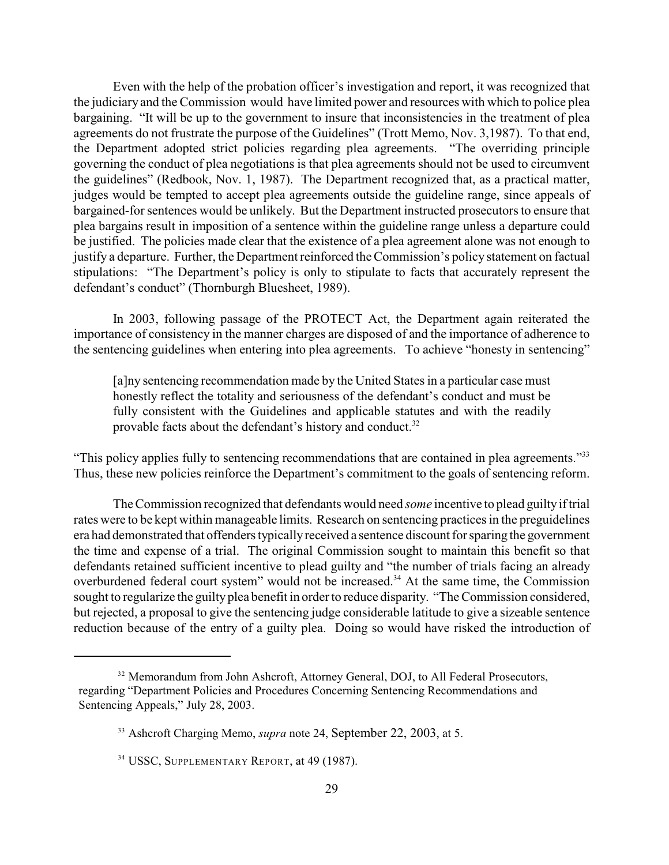Even with the help of the probation officer's investigation and report, it was recognized that the judiciary and the Commission would have limited power and resources with which to police plea bargaining. "It will be up to the government to insure that inconsistencies in the treatment of plea agreements do not frustrate the purpose of the Guidelines" (Trott Memo, Nov. 3,1987). To that end, the Department adopted strict policies regarding plea agreements. "The overriding principle governing the conduct of plea negotiations is that plea agreements should not be used to circumvent the guidelines" (Redbook, Nov. 1, 1987). The Department recognized that, as a practical matter, judges would be tempted to accept plea agreements outside the guideline range, since appeals of bargained-for sentences would be unlikely. But the Department instructed prosecutors to ensure that plea bargains result in imposition of a sentence within the guideline range unless a departure could be justified. The policies made clear that the existence of a plea agreement alone was not enough to justify a departure. Further, the Department reinforced the Commission's policy statement on factual stipulations: "The Department's policy is only to stipulate to facts that accurately represent the defendant's conduct" (Thornburgh Bluesheet, 1989).

In 2003, following passage of the PROTECT Act, the Department again reiterated the importance of consistency in the manner charges are disposed of and the importance of adherence to the sentencing guidelines when entering into plea agreements. To achieve "honesty in sentencing"

[a]ny sentencing recommendation made by the United States in a particular case must honestly reflect the totality and seriousness of the defendant's conduct and must be fully consistent with the Guidelines and applicable statutes and with the readily provable facts about the defendant's history and conduct.<sup>32</sup>

"This policy applies fully to sentencing recommendations that are contained in plea agreements."<sup>33</sup> Thus, these new policies reinforce the Department's commitment to the goals of sentencing reform.

The Commission recognized that defendants would need *some* incentive to plead guilty if trial rates were to be kept within manageable limits. Research on sentencing practices in the preguidelines era had demonstrated that offenders typically received a sentence discount for sparing the government the time and expense of a trial. The original Commission sought to maintain this benefit so that defendants retained sufficient incentive to plead guilty and "the number of trials facing an already overburdened federal court system" would not be increased.<sup>34</sup> At the same time, the Commission sought to regularize the guilty plea benefit in order to reduce disparity. "The Commission considered, but rejected, a proposal to give the sentencing judge considerable latitude to give a sizeable sentence reduction because of the entry of a guilty plea. Doing so would have risked the introduction of

<sup>&</sup>lt;sup>32</sup> Memorandum from John Ashcroft, Attorney General, DOJ, to All Federal Prosecutors, regarding "Department Policies and Procedures Concerning Sentencing Recommendations and Sentencing Appeals," July 28, 2003.

<sup>&</sup>lt;sup>33</sup> Ashcroft Charging Memo, *supra* note 24, September 22, 2003, at 5.

<sup>&</sup>lt;sup>34</sup> USSC, SUPPLEMENTARY REPORT, at 49 (1987).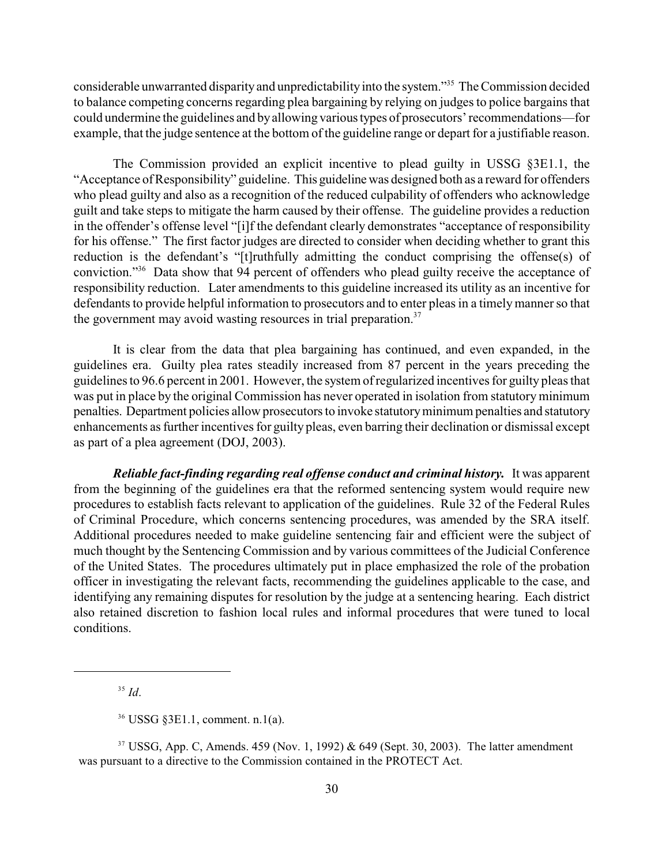considerable unwarranted disparity and unpredictability into the system."<sup>35</sup> The Commission decided to balance competing concerns regarding plea bargaining by relying on judges to police bargains that could undermine the guidelines and by allowing various types of prosecutors' recommendations—for example, that the judge sentence at the bottom of the guideline range or depart for a justifiable reason.

The Commission provided an explicit incentive to plead guilty in USSG §3E1.1, the "Acceptance of Responsibility" guideline. This guideline was designed both as a reward for offenders who plead guilty and also as a recognition of the reduced culpability of offenders who acknowledge guilt and take steps to mitigate the harm caused by their offense. The guideline provides a reduction in the offender's offense level "[i]f the defendant clearly demonstrates "acceptance of responsibility for his offense." The first factor judges are directed to consider when deciding whether to grant this reduction is the defendant's "[t]ruthfully admitting the conduct comprising the offense(s) of conviction."<sup>36</sup> Data show that 94 percent of offenders who plead guilty receive the acceptance of responsibility reduction. Later amendments to this guideline increased its utility as an incentive for defendants to provide helpful information to prosecutors and to enter pleas in a timely manner so that the government may avoid wasting resources in trial preparation.<sup>37</sup>

It is clear from the data that plea bargaining has continued, and even expanded, in the guidelines era. Guilty plea rates steadily increased from 87 percent in the years preceding the guidelines to 96.6 percent in 2001. However, the system of regularized incentives for guilty pleas that was put in place by the original Commission has never operated in isolation from statutory minimum penalties. Department policies allow prosecutors to invoke statutory minimum penalties and statutory enhancements as further incentives for guilty pleas, even barring their declination or dismissal except as part of a plea agreement (DOJ, 2003).

*Reliable fact-finding regarding real offense conduct and criminal history.* It was apparent from the beginning of the guidelines era that the reformed sentencing system would require new procedures to establish facts relevant to application of the guidelines. Rule 32 of the Federal Rules of Criminal Procedure, which concerns sentencing procedures, was amended by the SRA itself. Additional procedures needed to make guideline sentencing fair and efficient were the subject of much thought by the Sentencing Commission and by various committees of the Judicial Conference of the United States. The procedures ultimately put in place emphasized the role of the probation officer in investigating the relevant facts, recommending the guidelines applicable to the case, and identifying any remaining disputes for resolution by the judge at a sentencing hearing. Each district also retained discretion to fashion local rules and informal procedures that were tuned to local conditions.

<sup>37</sup> USSG, App. C, Amends. 459 (Nov. 1, 1992) & 649 (Sept. 30, 2003). The latter amendment was pursuant to a directive to the Commission contained in the PROTECT Act.

*Id*. 35

USSG §3E1.1, comment. n.1(a). 36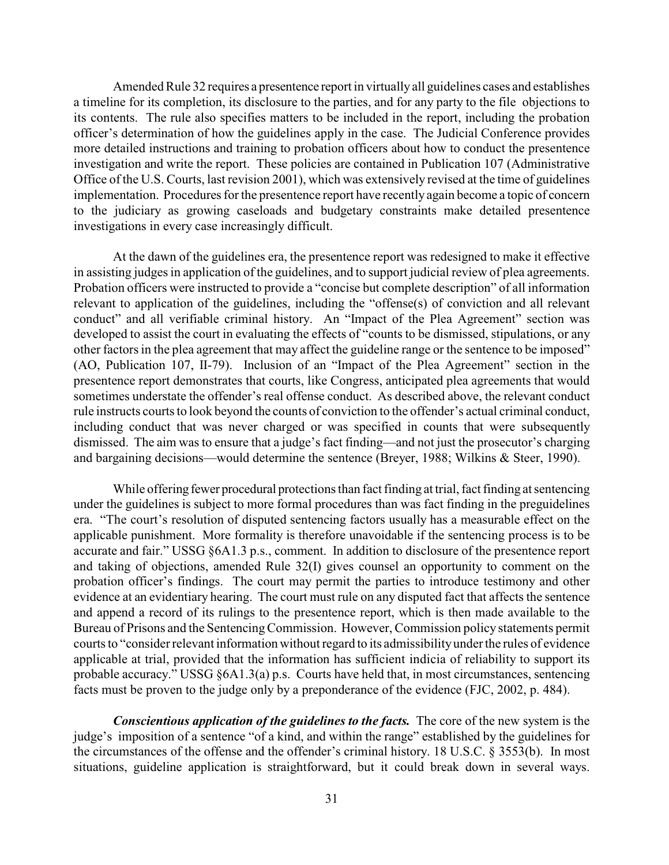Amended Rule 32 requires a presentence report in virtually all guidelines cases and establishes a timeline for its completion, its disclosure to the parties, and for any party to the file objections to its contents. The rule also specifies matters to be included in the report, including the probation officer's determination of how the guidelines apply in the case. The Judicial Conference provides more detailed instructions and training to probation officers about how to conduct the presentence investigation and write the report. These policies are contained in Publication 107 (Administrative Office of the U.S. Courts, last revision 2001), which was extensively revised at the time of guidelines implementation. Procedures for the presentence report have recently again become a topic of concern to the judiciary as growing caseloads and budgetary constraints make detailed presentence investigations in every case increasingly difficult.

At the dawn of the guidelines era, the presentence report was redesigned to make it effective in assisting judges in application of the guidelines, and to support judicial review of plea agreements. Probation officers were instructed to provide a "concise but complete description" of all information relevant to application of the guidelines, including the "offense(s) of conviction and all relevant conduct" and all verifiable criminal history. An "Impact of the Plea Agreement" section was developed to assist the court in evaluating the effects of "counts to be dismissed, stipulations, or any other factors in the plea agreement that may affect the guideline range or the sentence to be imposed" (AO, Publication 107, II-79). Inclusion of an "Impact of the Plea Agreement" section in the presentence report demonstrates that courts, like Congress, anticipated plea agreements that would sometimes understate the offender's real offense conduct. As described above, the relevant conduct rule instructs courts to look beyond the counts of conviction to the offender's actual criminal conduct, including conduct that was never charged or was specified in counts that were subsequently dismissed. The aim was to ensure that a judge's fact finding—and not just the prosecutor's charging and bargaining decisions—would determine the sentence (Breyer, 1988; Wilkins & Steer, 1990).

While offering fewer procedural protections than fact finding at trial, fact finding at sentencing under the guidelines is subject to more formal procedures than was fact finding in the preguidelines era. "The court's resolution of disputed sentencing factors usually has a measurable effect on the applicable punishment. More formality is therefore unavoidable if the sentencing process is to be accurate and fair." USSG §6A1.3 p.s., comment. In addition to disclosure of the presentence report and taking of objections, amended Rule 32(I) gives counsel an opportunity to comment on the probation officer's findings. The court may permit the parties to introduce testimony and other evidence at an evidentiary hearing. The court must rule on any disputed fact that affects the sentence and append a record of its rulings to the presentence report, which is then made available to the Bureau of Prisons and the Sentencing Commission. However, Commission policy statements permit courts to "consider relevant information without regard to its admissibilityunder the rules of evidence applicable at trial, provided that the information has sufficient indicia of reliability to support its probable accuracy." USSG §6A1.3(a) p.s. Courts have held that, in most circumstances, sentencing facts must be proven to the judge only by a preponderance of the evidence (FJC, 2002, p. 484).

*Conscientious application of the guidelines to the facts.* The core of the new system is the judge's imposition of a sentence "of a kind, and within the range" established by the guidelines for the circumstances of the offense and the offender's criminal history. 18 U.S.C. § 3553(b). In most situations, guideline application is straightforward, but it could break down in several ways.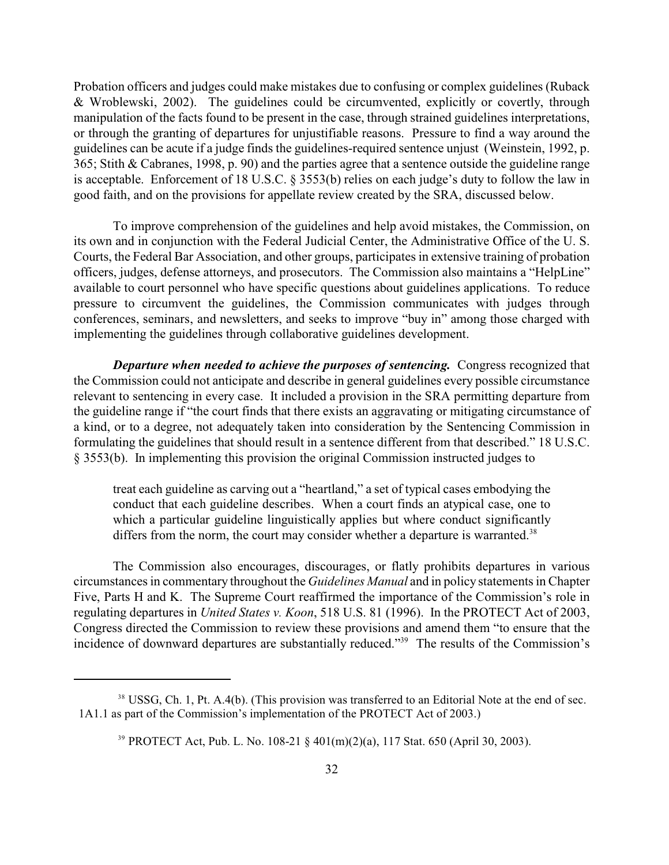Probation officers and judges could make mistakes due to confusing or complex guidelines (Ruback & Wroblewski, 2002). The guidelines could be circumvented, explicitly or covertly, through manipulation of the facts found to be present in the case, through strained guidelines interpretations, or through the granting of departures for unjustifiable reasons. Pressure to find a way around the guidelines can be acute if a judge finds the guidelines-required sentence unjust (Weinstein, 1992, p. 365; Stith & Cabranes, 1998, p. 90) and the parties agree that a sentence outside the guideline range is acceptable. Enforcement of 18 U.S.C. § 3553(b) relies on each judge's duty to follow the law in good faith, and on the provisions for appellate review created by the SRA, discussed below.

To improve comprehension of the guidelines and help avoid mistakes, the Commission, on its own and in conjunction with the Federal Judicial Center, the Administrative Office of the U. S. Courts, the Federal Bar Association, and other groups, participates in extensive training of probation officers, judges, defense attorneys, and prosecutors. The Commission also maintains a "HelpLine" available to court personnel who have specific questions about guidelines applications. To reduce pressure to circumvent the guidelines, the Commission communicates with judges through conferences, seminars, and newsletters, and seeks to improve "buy in" among those charged with implementing the guidelines through collaborative guidelines development.

*Departure when needed to achieve the purposes of sentencing.* Congress recognized that the Commission could not anticipate and describe in general guidelines every possible circumstance relevant to sentencing in every case. It included a provision in the SRA permitting departure from the guideline range if "the court finds that there exists an aggravating or mitigating circumstance of a kind, or to a degree, not adequately taken into consideration by the Sentencing Commission in formulating the guidelines that should result in a sentence different from that described." 18 U.S.C. § 3553(b). In implementing this provision the original Commission instructed judges to

treat each guideline as carving out a "heartland," a set of typical cases embodying the conduct that each guideline describes. When a court finds an atypical case, one to which a particular guideline linguistically applies but where conduct significantly differs from the norm, the court may consider whether a departure is warranted.<sup>38</sup>

The Commission also encourages, discourages, or flatly prohibits departures in various circumstances in commentary throughout the *Guidelines Manual* and in policy statements in Chapter Five, Parts H and K. The Supreme Court reaffirmed the importance of the Commission's role in regulating departures in *United States v. Koon*, 518 U.S. 81 (1996). In the PROTECT Act of 2003, Congress directed the Commission to review these provisions and amend them "to ensure that the incidence of downward departures are substantially reduced."<sup>39</sup> The results of the Commission's

<sup>&</sup>lt;sup>38</sup> USSG, Ch. 1, Pt. A.4(b). (This provision was transferred to an Editorial Note at the end of sec. 1A1.1 as part of the Commission's implementation of the PROTECT Act of 2003.)

PROTECT Act, Pub. L. No. 108-21 § 401(m)(2)(a), 117 Stat. 650 (April 30, 2003). 39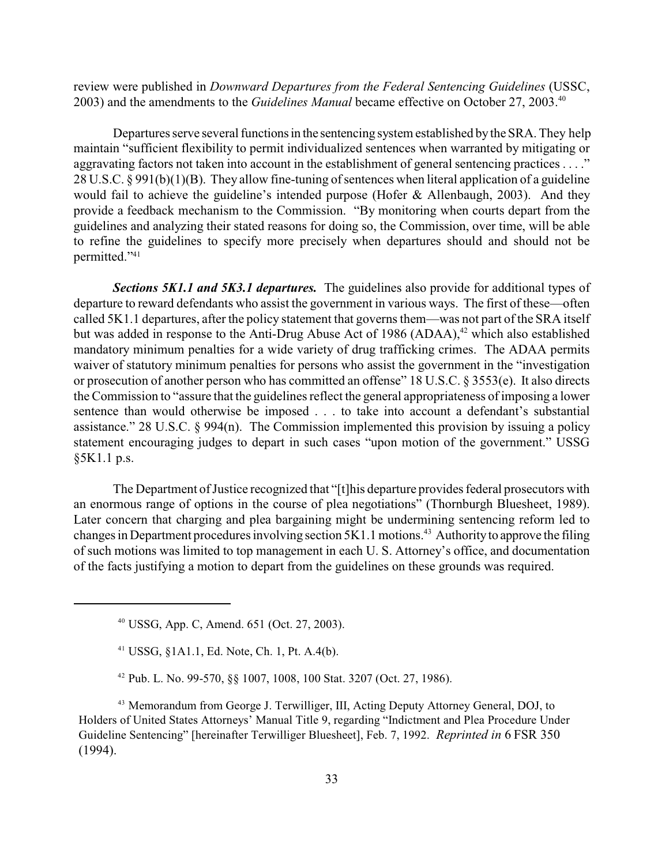review were published in *Downward Departures from the Federal Sentencing Guidelines* (USSC, 2003) and the amendments to the *Guidelines Manual* became effective on October 27, 2003.<sup>40</sup>

Departures serve several functions in the sentencing system established by the SRA. They help maintain "sufficient flexibility to permit individualized sentences when warranted by mitigating or aggravating factors not taken into account in the establishment of general sentencing practices ...." 28 U.S.C. § 991(b)(1)(B). They allow fine-tuning of sentences when literal application of a guideline would fail to achieve the guideline's intended purpose (Hofer & Allenbaugh, 2003). And they provide a feedback mechanism to the Commission. "By monitoring when courts depart from the guidelines and analyzing their stated reasons for doing so, the Commission, over time, will be able to refine the guidelines to specify more precisely when departures should and should not be permitted."<sup>41</sup>

*Sections 5K1.1 and 5K3.1 departures.* The guidelines also provide for additional types of departure to reward defendants who assist the government in various ways. The first of these—often called 5K1.1 departures, after the policy statement that governs them—was not part of the SRA itself but was added in response to the Anti-Drug Abuse Act of 1986 (ADAA), $42$  which also established mandatory minimum penalties for a wide variety of drug trafficking crimes. The ADAA permits waiver of statutory minimum penalties for persons who assist the government in the "investigation or prosecution of another person who has committed an offense" 18 U.S.C. § 3553(e). It also directs the Commission to "assure that the guidelines reflect the general appropriateness of imposing a lower sentence than would otherwise be imposed . . . to take into account a defendant's substantial assistance." 28 U.S.C. § 994(n). The Commission implemented this provision by issuing a policy statement encouraging judges to depart in such cases "upon motion of the government." USSG §5K1.1 p.s.

The Department of Justice recognized that "[t]his departure provides federal prosecutors with an enormous range of options in the course of plea negotiations" (Thornburgh Bluesheet, 1989). Later concern that charging and plea bargaining might be undermining sentencing reform led to changes in Department procedures involving section  $5K1.1$  motions.<sup>43</sup> Authority to approve the filing of such motions was limited to top management in each U. S. Attorney's office, and documentation of the facts justifying a motion to depart from the guidelines on these grounds was required.

<sup>&</sup>lt;sup>40</sup> USSG, App. C, Amend. 651 (Oct. 27, 2003).

 $41$  USSG,  $§1A1.1$ , Ed. Note, Ch. 1, Pt. A.4(b).

<sup>&</sup>lt;sup>42</sup> Pub. L. No. 99-570, §§ 1007, 1008, 100 Stat. 3207 (Oct. 27, 1986).

<sup>&</sup>lt;sup>43</sup> Memorandum from George J. Terwilliger, III, Acting Deputy Attorney General, DOJ, to Holders of United States Attorneys' Manual Title 9, regarding "Indictment and Plea Procedure Under Guideline Sentencing" [hereinafter Terwilliger Bluesheet], Feb. 7, 1992. *Reprinted in* 6 FSR 350 (1994).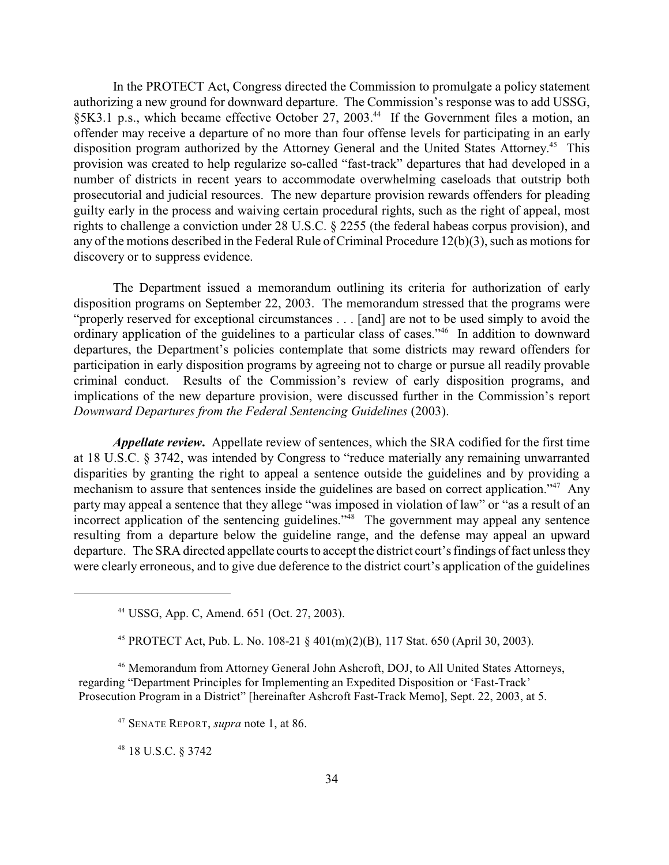In the PROTECT Act, Congress directed the Commission to promulgate a policy statement authorizing a new ground for downward departure. The Commission's response was to add USSG, §5K3.1 p.s., which became effective October 27, 2003.<sup>44</sup> If the Government files a motion, an offender may receive a departure of no more than four offense levels for participating in an early disposition program authorized by the Attorney General and the United States Attorney.<sup>45</sup> This provision was created to help regularize so-called "fast-track" departures that had developed in a number of districts in recent years to accommodate overwhelming caseloads that outstrip both prosecutorial and judicial resources. The new departure provision rewards offenders for pleading guilty early in the process and waiving certain procedural rights, such as the right of appeal, most rights to challenge a conviction under 28 U.S.C. § 2255 (the federal habeas corpus provision), and any of the motions described in the Federal Rule of Criminal Procedure 12(b)(3), such as motions for discovery or to suppress evidence.

The Department issued a memorandum outlining its criteria for authorization of early disposition programs on September 22, 2003. The memorandum stressed that the programs were "properly reserved for exceptional circumstances . . . [and] are not to be used simply to avoid the ordinary application of the guidelines to a particular class of cases."<sup>46</sup> In addition to downward departures, the Department's policies contemplate that some districts may reward offenders for participation in early disposition programs by agreeing not to charge or pursue all readily provable criminal conduct. Results of the Commission's review of early disposition programs, and implications of the new departure provision, were discussed further in the Commission's report *Downward Departures from the Federal Sentencing Guidelines* (2003).

*Appellate review***.** Appellate review of sentences, which the SRA codified for the first time at 18 U.S.C. § 3742, was intended by Congress to "reduce materially any remaining unwarranted disparities by granting the right to appeal a sentence outside the guidelines and by providing a mechanism to assure that sentences inside the guidelines are based on correct application."<sup>47</sup> Any party may appeal a sentence that they allege "was imposed in violation of law" or "as a result of an incorrect application of the sentencing guidelines."<sup>48</sup> The government may appeal any sentence resulting from a departure below the guideline range, and the defense may appeal an upward departure. The SRA directed appellate courts to accept the district court's findings of fact unless they were clearly erroneous, and to give due deference to the district court's application of the guidelines

<sup>46</sup> Memorandum from Attorney General John Ashcroft, DOJ, to All United States Attorneys, regarding "Department Principles for Implementing an Expedited Disposition or 'Fast-Track' Prosecution Program in a District" [hereinafter Ashcroft Fast-Track Memo], Sept. 22, 2003, at 5.

<sup>48</sup> 18 U.S.C. § 3742

USSG, App. C, Amend. 651 (Oct. 27, 2003). <sup>44</sup>

<sup>&</sup>lt;sup>45</sup> PROTECT Act, Pub. L. No. 108-21 § 401(m)(2)(B), 117 Stat. 650 (April 30, 2003).

SENATE REPORT, *supra* note 1, at 86. <sup>47</sup>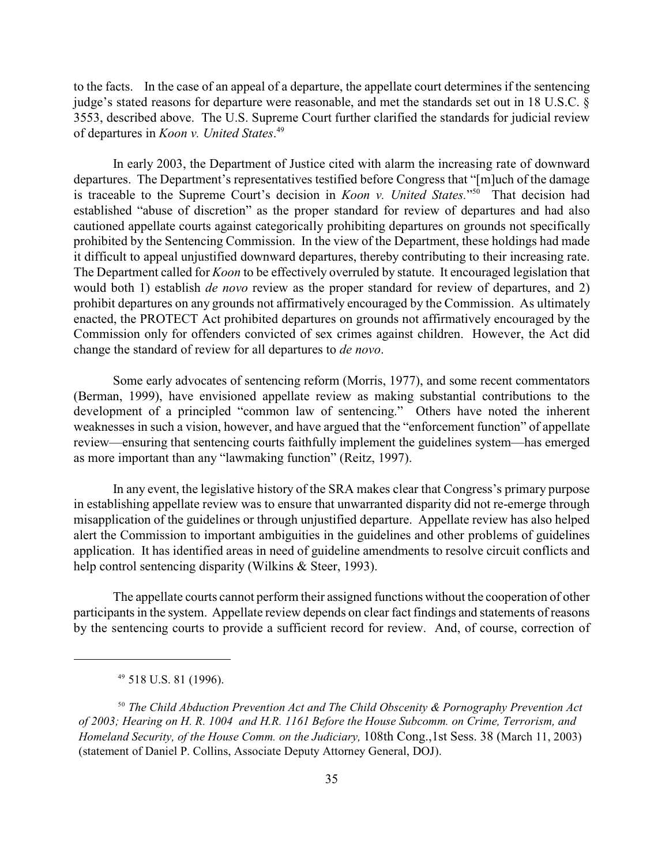to the facts. In the case of an appeal of a departure, the appellate court determines if the sentencing judge's stated reasons for departure were reasonable, and met the standards set out in 18 U.S.C. § 3553, described above. The U.S. Supreme Court further clarified the standards for judicial review of departures in *Koon v. United States*. 49

In early 2003, the Department of Justice cited with alarm the increasing rate of downward departures. The Department's representatives testified before Congress that "[m]uch of the damage is traceable to the Supreme Court's decision in *Koon v. United States.*"<sup>50</sup> That decision had established "abuse of discretion" as the proper standard for review of departures and had also cautioned appellate courts against categorically prohibiting departures on grounds not specifically prohibited by the Sentencing Commission. In the view of the Department, these holdings had made it difficult to appeal unjustified downward departures, thereby contributing to their increasing rate. The Department called for *Koon* to be effectively overruled by statute. It encouraged legislation that would both 1) establish *de novo* review as the proper standard for review of departures, and 2) prohibit departures on any grounds not affirmatively encouraged by the Commission. As ultimately enacted, the PROTECT Act prohibited departures on grounds not affirmatively encouraged by the Commission only for offenders convicted of sex crimes against children. However, the Act did change the standard of review for all departures to *de novo*.

Some early advocates of sentencing reform (Morris, 1977), and some recent commentators (Berman, 1999), have envisioned appellate review as making substantial contributions to the development of a principled "common law of sentencing." Others have noted the inherent weaknesses in such a vision, however, and have argued that the "enforcement function" of appellate review—ensuring that sentencing courts faithfully implement the guidelines system—has emerged as more important than any "lawmaking function" (Reitz, 1997).

In any event, the legislative history of the SRA makes clear that Congress's primary purpose in establishing appellate review was to ensure that unwarranted disparity did not re-emerge through misapplication of the guidelines or through unjustified departure. Appellate review has also helped alert the Commission to important ambiguities in the guidelines and other problems of guidelines application. It has identified areas in need of guideline amendments to resolve circuit conflicts and help control sentencing disparity (Wilkins & Steer, 1993).

The appellate courts cannot perform their assigned functions without the cooperation of other participants in the system. Appellate review depends on clear fact findings and statements of reasons by the sentencing courts to provide a sufficient record for review. And, of course, correction of

<sup>&</sup>lt;sup>49</sup> 518 U.S. 81 (1996).

<sup>&</sup>lt;sup>50</sup> The Child Abduction Prevention Act and The Child Obscenity & Pornography Prevention Act *of 2003; Hearing on H. R. 1004 and H.R. 1161 Before the House Subcomm. on Crime, Terrorism, and Homeland Security, of the House Comm. on the Judiciary,* 108th Cong.,1st Sess. 38 (March 11, 2003) (statement of Daniel P. Collins, Associate Deputy Attorney General, DOJ).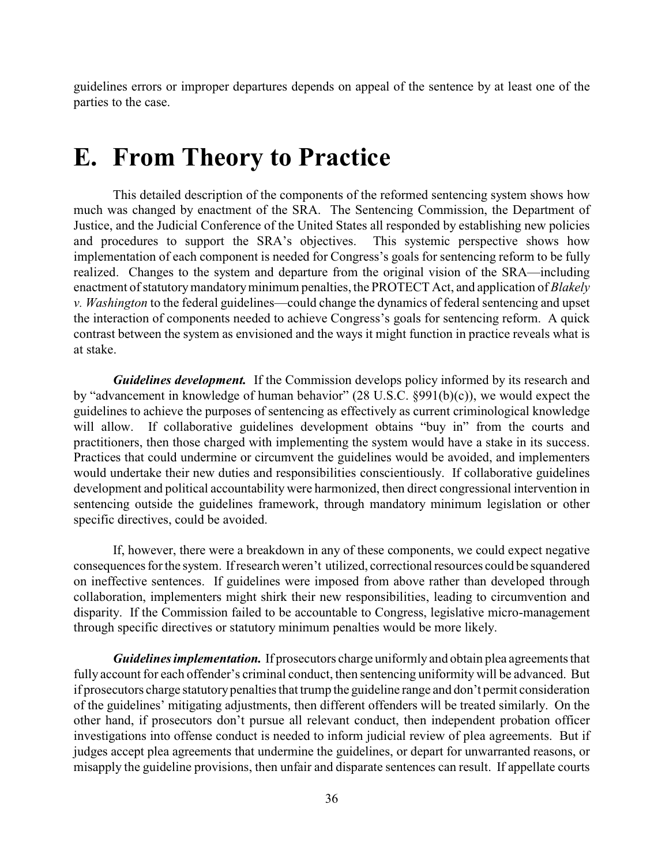guidelines errors or improper departures depends on appeal of the sentence by at least one of the parties to the case.

## **E. From Theory to Practice**

This detailed description of the components of the reformed sentencing system shows how much was changed by enactment of the SRA. The Sentencing Commission, the Department of Justice, and the Judicial Conference of the United States all responded by establishing new policies and procedures to support the SRA's objectives. This systemic perspective shows how implementation of each component is needed for Congress's goals for sentencing reform to be fully realized. Changes to the system and departure from the original vision of the SRA—including enactment of statutory mandatory minimum penalties, the PROTECT Act, and application of *Blakely v. Washington* to the federal guidelines—could change the dynamics of federal sentencing and upset the interaction of components needed to achieve Congress's goals for sentencing reform. A quick contrast between the system as envisioned and the ways it might function in practice reveals what is at stake.

*Guidelines development.* If the Commission develops policy informed by its research and by "advancement in knowledge of human behavior" (28 U.S.C. §991(b)(c)), we would expect the guidelines to achieve the purposes of sentencing as effectively as current criminological knowledge will allow. If collaborative guidelines development obtains "buy in" from the courts and practitioners, then those charged with implementing the system would have a stake in its success. Practices that could undermine or circumvent the guidelines would be avoided, and implementers would undertake their new duties and responsibilities conscientiously. If collaborative guidelines development and political accountability were harmonized, then direct congressional intervention in sentencing outside the guidelines framework, through mandatory minimum legislation or other specific directives, could be avoided.

If, however, there were a breakdown in any of these components, we could expect negative consequences for the system. If research weren't utilized, correctional resources could be squandered on ineffective sentences. If guidelines were imposed from above rather than developed through collaboration, implementers might shirk their new responsibilities, leading to circumvention and disparity. If the Commission failed to be accountable to Congress, legislative micro-management through specific directives or statutory minimum penalties would be more likely.

*Guidelines implementation.* If prosecutors charge uniformly and obtain plea agreements that fully account for each offender's criminal conduct, then sentencing uniformity will be advanced. But if prosecutors charge statutory penalties that trump the guideline range and don't permit consideration of the guidelines' mitigating adjustments, then different offenders will be treated similarly. On the other hand, if prosecutors don't pursue all relevant conduct, then independent probation officer investigations into offense conduct is needed to inform judicial review of plea agreements. But if judges accept plea agreements that undermine the guidelines, or depart for unwarranted reasons, or misapply the guideline provisions, then unfair and disparate sentences can result. If appellate courts